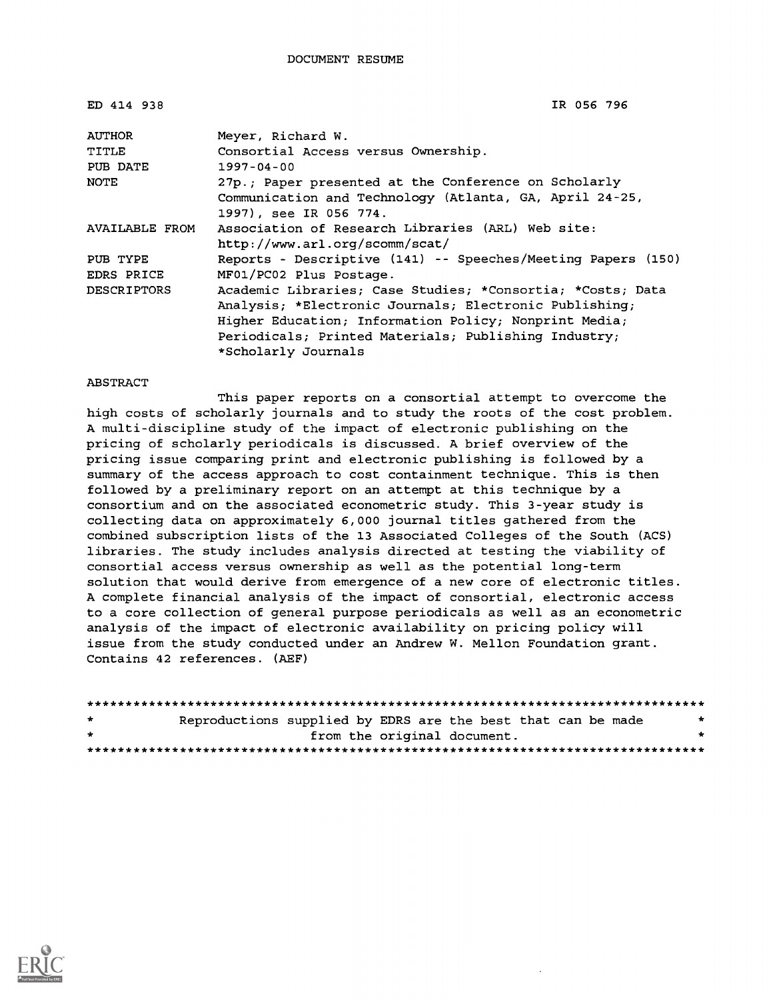| ED 414 938         | IR 056 796                                                   |
|--------------------|--------------------------------------------------------------|
| AUTHOR             | Meyer, Richard W.                                            |
| TITLE              | Consortial Access versus Ownership.                          |
| PUB DATE           | $1997 - 04 - 00$                                             |
| <b>NOTE</b>        | 27p.; Paper presented at the Conference on Scholarly         |
|                    | Communication and Technology (Atlanta, GA, April 24-25,      |
|                    | 1997), see IR 056 774.                                       |
| AVAILABLE FROM     | Association of Research Libraries (ARL) Web site:            |
|                    | http://www.arl.org/scomm/scat/                               |
| PUB TYPE           | Reports - Descriptive (141) -- Speeches/Meeting Papers (150) |
| EDRS PRICE         | MF01/PC02 Plus Postage.                                      |
| <b>DESCRIPTORS</b> | Academic Libraries; Case Studies; *Consortia; *Costs; Data   |
|                    | Analysis; *Electronic Journals; Electronic Publishing;       |
|                    | Higher Education; Information Policy; Nonprint Media;        |
|                    | Periodicals; Printed Materials; Publishing Industry;         |
|                    | *Scholarly Journals                                          |

#### ABSTRACT

This paper reports on a consortial attempt to overcome the high costs of scholarly journals and to study the roots of the cost problem. A multi-discipline study of the impact of electronic publishing on the pricing of scholarly periodicals is discussed. A brief overview of the pricing issue comparing print and electronic publishing is followed by a summary of the access approach to cost containment technique. This is then followed by a preliminary report on an attempt at this technique by a consortium and on the associated econometric study. This 3-year study is collecting data on approximately 6,000 journal titles gathered from the combined subscription lists of the 13 Associated Colleges of the South (ACS) libraries. The study includes analysis directed at testing the viability of consortial access versus ownership as well as the potential long-term solution that would derive from emergence of a new core of electronic titles. A complete financial analysis of the impact of consortial, electronic access to a core collection of general purpose periodicals as well as an econometric analysis of the impact of electronic availability on pricing policy will issue from the study conducted under an Andrew W. Mellon Foundation grant. Contains 42 references. (AEF)

| $\star$ | Reproductions supplied by EDRS are the best that can be made |  |                             |  | $\star$ |
|---------|--------------------------------------------------------------|--|-----------------------------|--|---------|
| $\star$ |                                                              |  | from the original document. |  |         |
|         |                                                              |  |                             |  |         |

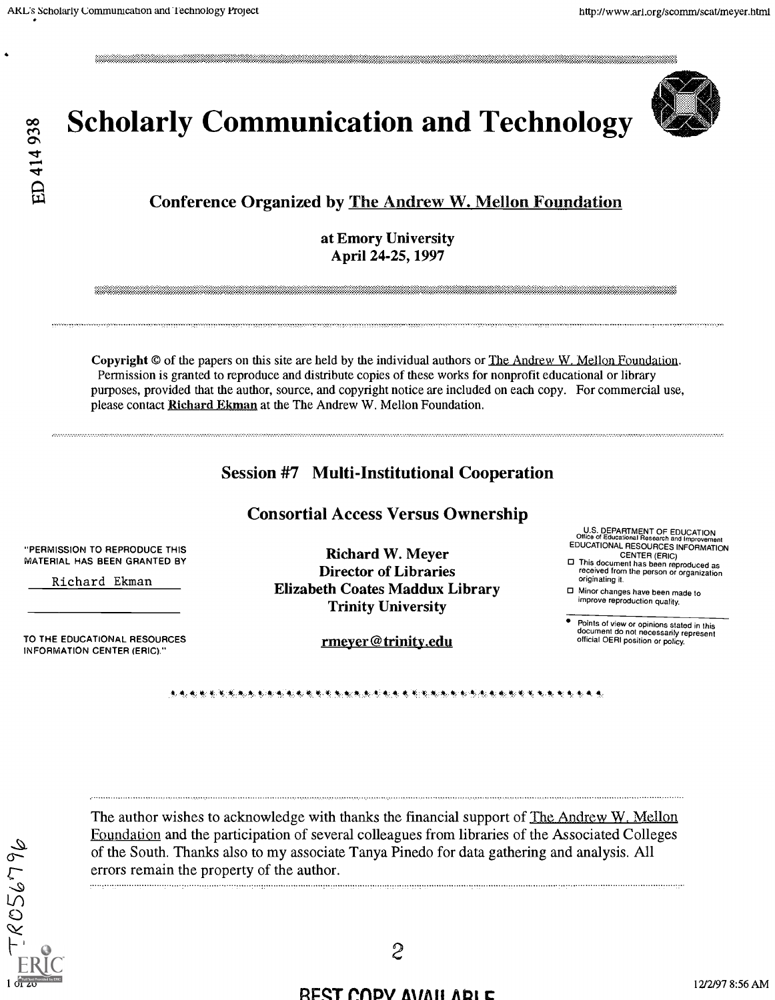

# Scholarly Communication and Technology<br>  $\frac{8}{9}$ <br>  $\frac{6}{9}$  Conference Organized by The Andrew W. Mellon Equidation

# Conference Organized by The Andrew W. Mellon Foundation

at Emory University April 24-25, 1997

Copyright © of the papers on this site are held by the individual authors or The Andrew W. Mellon Foundation. Permission is granted to reproduce and distribute copies of these works for nonprofit educational or library purposes, provided that the author, source, and copyright notice are included on each copy. For commercial use, please contact Richard Ekman at the The Andrew W. Mellon Foundation.

# Session #7 Multi-Institutional Cooperation

#### Consortial Access Versus Ownership

"PERMISSION TO REPRODUCE THIS MATERIAL HAS BEEN GRANTED BY

Richard Ekman

TO THE EDUCATIONAL RESOURCES INFORMATION CENTER (ERIC)."

errors remain the property of the author.

Richard W. Meyer Director of Libraries Elizabeth Coates Maddux Library Trinity University

rmeyer@trinity.edu

U.S. DEPARTMENT OF EDUCATION Office of Educational Research and Improvement EDUCATIONAL RESOURCES INFORMATION

CENTER (ERIC) This document has been reproduced as received from the person or organization originating it.

Minor changes have been made to improve reproduction quality.

Points of view or opinions stated in this document do not necessarily represent official OERI position or policy.

电影光光光影影像美国电影界 电电热电影 电电离 电影电视电影 电影热电影的名词

The author wishes to acknowledge with thanks the financial support of <u>The Andrew W, Mellon</u> Foundation and the participation of several colleagues from libraries of the Associated Colleges of the South. Thanks also to my associate Tanya Pinedo for data gathering and analysis. All

 $36796$  $\overline{P}$  $1\,$   $01\,$   $20\,$ 

# REST CODV AVAII ARIL R  $^{12/2/978:56 \text{ AM}}$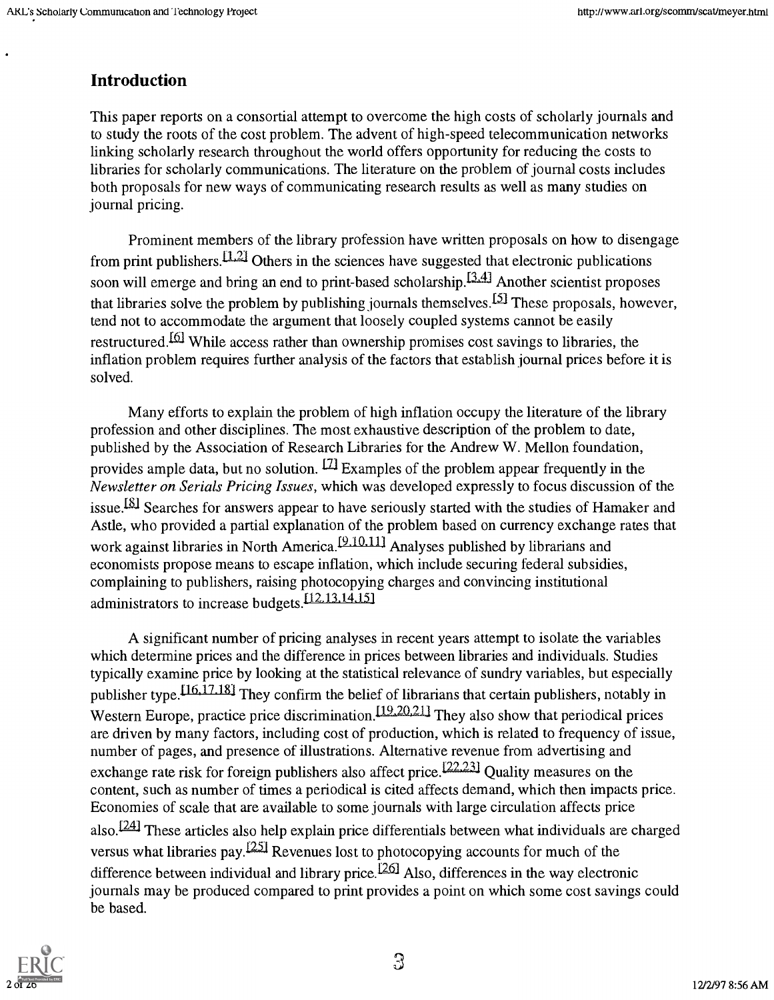# Introduction

This paper reports on a consortial attempt to overcome the high costs of scholarly journals and to study the roots of the cost problem. The advent of high-speed telecommunication networks linking scholarly research throughout the world offers opportunity for reducing the costs to libraries for scholarly communications. The literature on the problem of journal costs includes both proposals for new ways of communicating research results as well as many studies on journal pricing.

Prominent members of the library profession have written proposals on how to disengage from print publishers.<sup>[1.2]</sup> Others in the sciences have suggested that electronic publications soon will emerge and bring an end to print-based scholarship.<sup>[3.4]</sup> Another scientist proposes that libraries solve the problem by publishing journals themselves.<sup>[5]</sup> These proposals, however, tend not to accommodate the argument that loosely coupled systems cannot be easily restructured.161 While access rather than ownership promises cost savings to libraries, the inflation problem requires further analysis of the factors that establish journal prices before it is solved.

Many efforts to explain the problem of high inflation occupy the literature of the library profession and other disciplines. The most exhaustive description of the problem to date, published by the Association of Research Libraries for the Andrew W. Mellon foundation, provides ample data, but no solution.  $\Box$  Examples of the problem appear frequently in the Newsletter on Serials Pricing Issues, which was developed expressly to focus discussion of the issue.<sup>[8]</sup> Searches for answers appear to have seriously started with the studies of Hamaker and Astle, who provided a partial explanation of the problem based on currency exchange rates that work against libraries in North America.<sup>[9,10,11]</sup> Analyses published by librarians and economists propose means to escape inflation, which include securing federal subsidies, complaining to publishers, raising photocopying charges and convincing institutional administrators to increase budgets. $[12.13.14.15]$ 

A significant number of pricing analyses in recent years attempt to isolate the variables which determine prices and the difference in prices between libraries and individuals. Studies typically examine price by looking at the statistical relevance of sundry variables, but especially publisher type.<sup>[16,17,18]</sup> They confirm the belief of librarians that certain publishers, notably in Western Europe, practice price discrimination.<sup>[19,20,21]</sup> They also show that periodical prices are driven by many factors, including cost of production, which is related to frequency of issue, number of pages, and presence of illustrations. Alternative revenue from advertising and exchange rate risk for foreign publishers also affect price.<sup>[22.23]</sup> Quality measures on the content, such as number of times a periodical is cited affects demand, which then impacts price. Economies of scale that are available to some journals with large circulation affects price also.<sup>[24]</sup> These articles also help explain price differentials between what individuals are charged versus what libraries pay.<sup>[25]</sup> Revenues lost to photocopying accounts for much of the difference between individual and library price.<sup>[26]</sup> Also, differences in the way electronic journals may be produced compared to print provides a point on which some cost savings could be based.

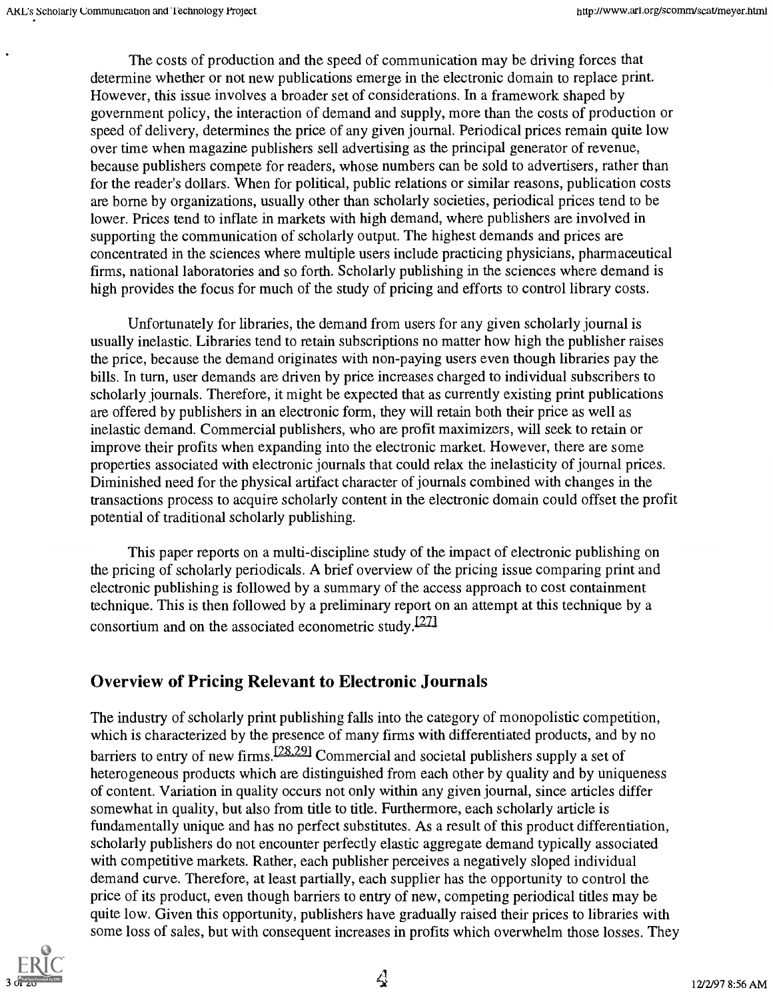The costs of production and the speed of communication may be driving forces that determine whether or not new publications emerge in the electronic domain to replace print. However, this issue involves a broader set of considerations. In a framework shaped by government policy, the interaction of demand and supply, more than the costs of production or speed of delivery, determines the price of any given journal. Periodical prices remain quite low over time when magazine publishers sell advertising as the principal generator of revenue, because publishers compete for readers, whose numbers can be sold to advertisers, rather than for the reader's dollars. When for political, public relations or similar reasons, publication costs are borne by organizations, usually other than scholarly societies, periodical prices tend to be lower. Prices tend to inflate in markets with high demand, where publishers are involved in supporting the communication of scholarly output. The highest demands and prices are concentrated in the sciences where multiple users include practicing physicians, pharmaceutical firms, national laboratories and so forth. Scholarly publishing in the sciences where demand is high provides the focus for much of the study of pricing and efforts to control library costs.

Unfortunately for libraries, the demand from users for any given scholarly journal is usually inelastic. Libraries tend to retain subscriptions no matter how high the publisher raises the price, because the demand originates with non-paying users even though libraries pay the bills. In turn, user demands are driven by price increases charged to individual subscribers to scholarly journals. Therefore, it might be expected that as currently existing print publications are offered by publishers in an electronic form, they will retain both their price as well as inelastic demand. Commercial publishers, who are profit maximizers, will seek to retain or improve their profits when expanding into the electronic market. However, there are some properties associated with electronic journals that could relax the inelasticity of journal prices. Diminished need for the physical artifact character of journals combined with changes in the transactions process to acquire scholarly content in the electronic domain could offset the profit potential of traditional scholarly publishing.

This paper reports on a multi-discipline study of the impact of electronic publishing on the pricing of scholarly periodicals. A brief overview of the pricing issue comparing print and electronic publishing is followed by a summary of the access approach to cost containment technique. This is then followed by a preliminary report on an attempt at this technique by a consortium and on the associated econometric study.1271

# Overview of Pricing Relevant to Electronic Journals

The industry of scholarly print publishing falls into the category of monopolistic competition, which is characterized by the presence of many firms with differentiated products, and by no barriers to entry of new firms.<sup>[28,29]</sup> Commercial and societal publishers supply a set of heterogeneous products which are distinguished from each other by quality and by uniqueness of content. Variation in quality occurs not only within any given journal, since articles differ somewhat in quality, but also from title to title. Furthermore, each scholarly article is fundamentally unique and has no perfect substitutes. As a result of this product differentiation, scholarly publishers do not encounter perfectly elastic aggregate demand typically associated with competitive markets. Rather, each publisher perceives a negatively sloped individual demand curve. Therefore, at least partially, each supplier has the opportunity to control the price of its product, even though barriers to entry of new, competing periodical titles may be quite low. Given this opportunity, publishers have gradually raised their prices to libraries with some loss of sales, but with consequent increases in profits which overwhelm those losses. They

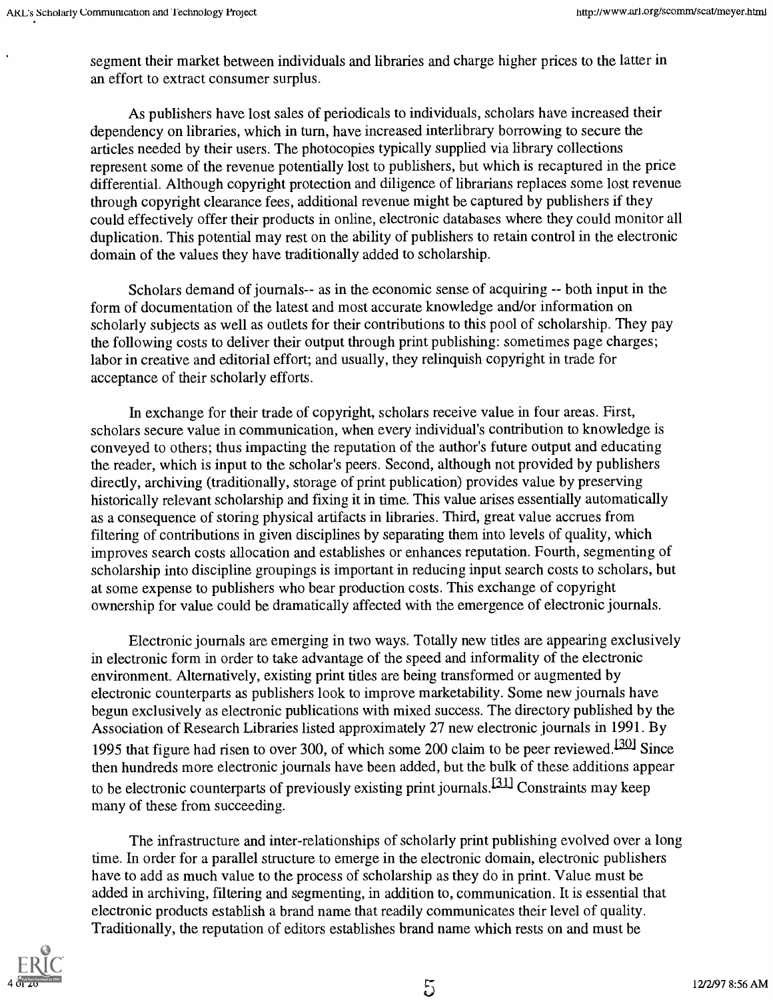segment their market between individuals and libraries and charge higher prices to the latter in an effort to extract consumer surplus.

As publishers have lost sales of periodicals to individuals, scholars have increased their dependency on libraries, which in turn, have increased interlibrary borrowing to secure the articles needed by their users. The photocopies typically supplied via library collections represent some of the revenue potentially lost to publishers, but which is recaptured in the price differential. Although copyright protection and diligence of librarians replaces some lost revenue through copyright clearance fees, additional revenue might be captured by publishers if they could effectively offer their products in online, electronic databases where they could monitor all duplication. This potential may rest on the ability of publishers to retain control in the electronic domain of the values they have traditionally added to scholarship.

Scholars demand of journals-- as in the economic sense of acquiring -- both input in the form of documentation of the latest and most accurate knowledge and/or information on scholarly subjects as well as outlets for their contributions to this pool of scholarship. They pay the following costs to deliver their output through print publishing: sometimes page charges; labor in creative and editorial effort; and usually, they relinquish copyright in trade for acceptance of their scholarly efforts.

In exchange for their trade of copyright, scholars receive value in four areas. First, scholars secure value in communication, when every individual's contribution to knowledge is conveyed to others; thus impacting the reputation of the author's future output and educating the reader, which is input to the scholar's peers. Second, although not provided by publishers directly, archiving (traditionally, storage of print publication) provides value by preserving historically relevant scholarship and fixing it in time. This value arises essentially automatically as a consequence of storing physical artifacts in libraries. Third, great value accrues from filtering of contributions in given disciplines by separating them into levels of quality, which improves search costs allocation and establishes or enhances reputation. Fourth, segmenting of scholarship into discipline groupings is important in reducing input search costs to scholars, but at some expense to publishers who bear production costs. This exchange of copyright ownership for value could be dramatically affected with the emergence of electronic journals.

Electronic journals are emerging in two ways. Totally new titles are appearing exclusively in electronic form in order to take advantage of the speed and informality of the electronic environment. Alternatively, existing print titles are being transformed or augmented by electronic counterparts as publishers look to improve marketability. Some new journals have begun exclusively as electronic publications with mixed success. The directory published by the Association of Research Libraries listed approximately 27 new electronic journals in 1991. By 1995 that figure had risen to over 300, of which some 200 claim to be peer reviewed.<sup>[30]</sup> Since then hundreds more electronic journals have been added, but the bulk of these additions appear to be electronic counterparts of previously existing print journals.<sup>[31]</sup> Constraints may keep many of these from succeeding.

The infrastructure and inter-relationships of scholarly print publishing evolved over a long time. In order for a parallel structure to emerge in the electronic domain, electronic publishers have to add as much value to the process of scholarship as they do in print. Value must be added in archiving, filtering and segmenting, in addition to, communication. It is essential that electronic products establish a brand name that readily communicates their level of quality. Traditionally, the reputation of editors establishes brand name which rests on and must be

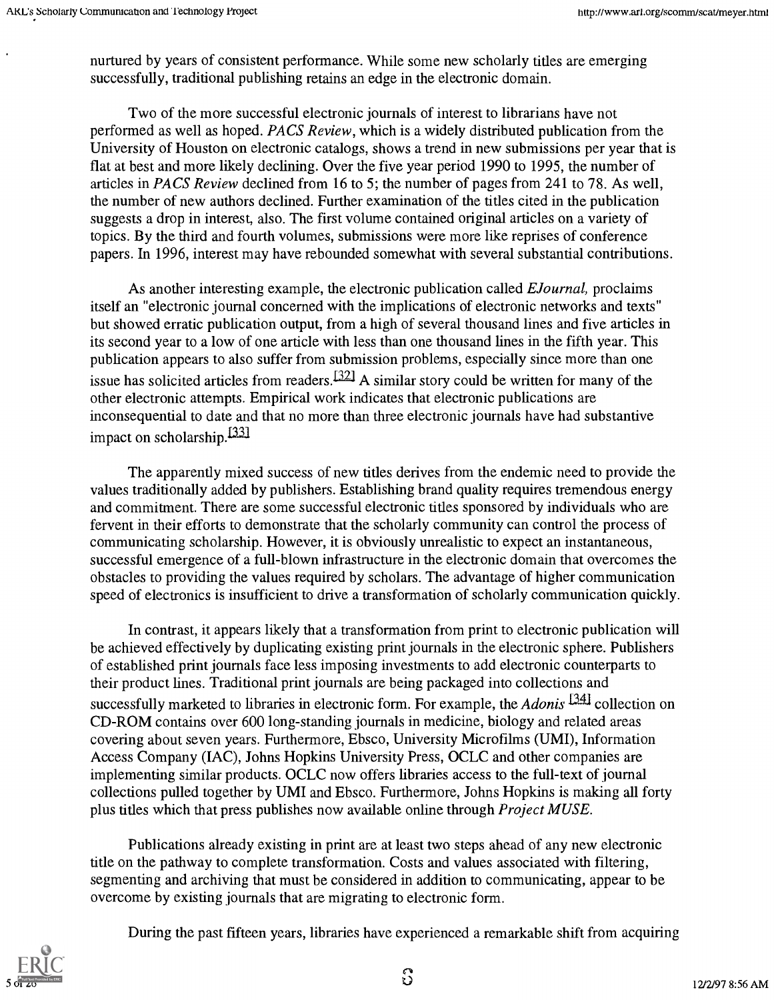nurtured by years of consistent performance. While some new scholarly titles are emerging successfully, traditional publishing retains an edge in the electronic domain.

Two of the more successful electronic journals of interest to librarians have not performed as well as hoped. PACS Review, which is a widely distributed publication from the University of Houston on electronic catalogs, shows a trend in new submissions per year that is flat at best and more likely declining. Over the five year period 1990 to 1995, the number of articles in PACS Review declined from 16 to 5; the number of pages from 241 to 78. As well, the number of new authors declined. Further examination of the titles cited in the publication suggests a drop in interest, also. The first volume contained original articles on a variety of topics. By the third and fourth volumes, submissions were more like reprises of conference papers. In 1996, interest may have rebounded somewhat with several substantial contributions.

As another interesting example, the electronic publication called *EJournal*, proclaims itself an "electronic journal concerned with the implications of electronic networks and texts" but showed erratic publication output, from a high of several thousand lines and five articles in its second year to a low of one article with less than one thousand lines in the fifth year. This publication appears to also suffer from submission problems, especially since more than one issue has solicited articles from readers.  $[32]$  A similar story could be written for many of the other electronic attempts. Empirical work indicates that electronic publications are inconsequential to date and that no more than three electronic journals have had substantive impact on scholarship. $[33]$ 

The apparently mixed success of new titles derives from the endemic need to provide the values traditionally added by publishers. Establishing brand quality requires tremendous energy and commitment. There are some successful electronic titles sponsored by individuals who are fervent in their efforts to demonstrate that the scholarly community can control the process of communicating scholarship. However, it is obviously unrealistic to expect an instantaneous, successful emergence of a full-blown infrastructure in the electronic domain that overcomes the obstacles to providing the values required by scholars. The advantage of higher communication speed of electronics is insufficient to drive a transformation of scholarly communication quickly.

In contrast, it appears likely that a transformation from print to electronic publication will be achieved effectively by duplicating existing print journals in the electronic sphere. Publishers of established print journals face less imposing investments to add electronic counterparts to their product lines. Traditional print journals are being packaged into collections and successfully marketed to libraries in electronic form. For example, the Adonis<sup>[34]</sup> collection on CD-ROM contains over 600 long-standing journals in medicine, biology and related areas covering about seven years. Furthermore, Ebsco, University Microfilms (UMI), Information Access Company (IAC), Johns Hopkins University Press, OCLC and other companies are implementing similar products. OCLC now offers libraries access to the full-text of journal collections pulled together by UMI and Ebsco. Furthermore, Johns Hopkins is making all forty plus titles which that press publishes now available online through *Project MUSE*.

Publications already existing in print are at least two steps ahead of any new electronic title on the pathway to complete transformation. Costs and values associated with filtering, segmenting and archiving that must be considered in addition to communicating, appear to be overcome by existing journals that are migrating to electronic form.



During the past fifteen years, libraries have experienced a remarkable shift from acquiring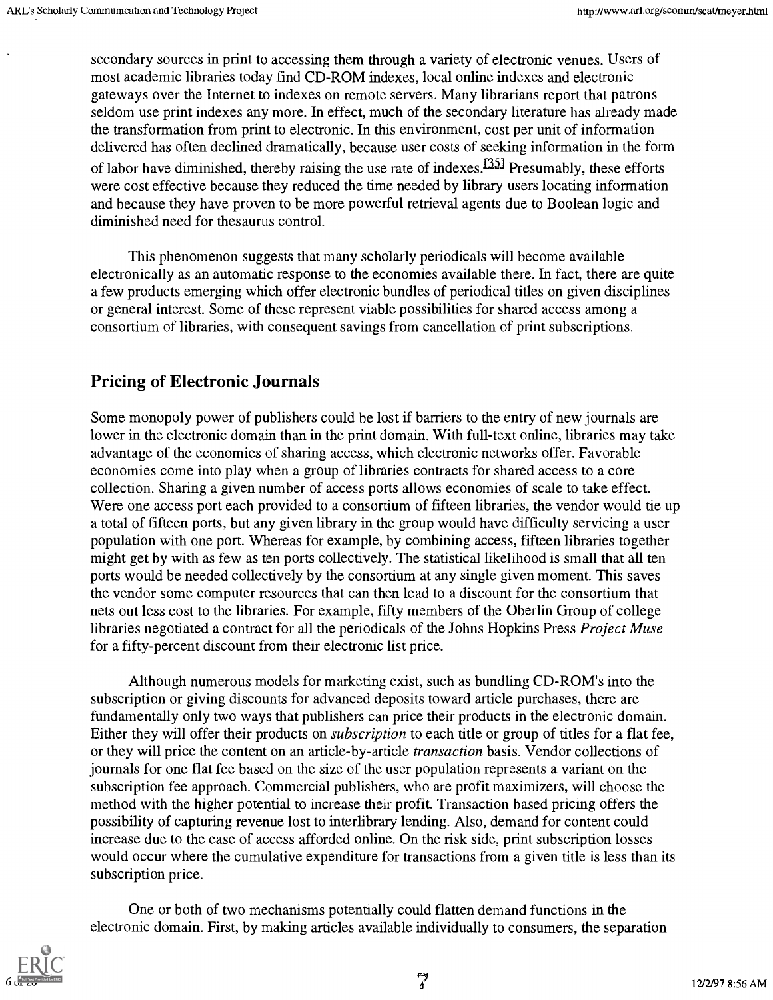secondary sources in print to accessing them through a variety of electronic venues. Users of most academic libraries today find CD-ROM indexes, local online indexes and electronic gateways over the Internet to indexes on remote servers. Many librarians report that patrons seldom use print indexes any more. In effect, much of the secondary literature has already made the transformation from print to electronic. In this environment, cost per unit of information delivered has often declined dramatically, because user costs of seeking information in the form of labor have diminished, thereby raising the use rate of indexes.<sup>[35]</sup> Presumably, these efforts were cost effective because they reduced the time needed by library users locating information and because they have proven to be more powerful retrieval agents due to Boolean logic and diminished need for thesaurus control.

This phenomenon suggests that many scholarly periodicals will become available electronically as an automatic response to the economies available there. In fact, there are quite a few products emerging which offer electronic bundles of periodical titles on given disciplines or general interest. Some of these represent viable possibilities for shared access among a consortium of libraries, with consequent savings from cancellation of print subscriptions.

# Pricing of Electronic Journals

Some monopoly power of publishers could be lost if barriers to the entry of new journals are lower in the electronic domain than in the print domain. With full-text online, libraries may take advantage of the economies of sharing access, which electronic networks offer. Favorable economies come into play when a group of libraries contracts for shared access to a core collection. Sharing a given number of access ports allows economies of scale to take effect. Were one access port each provided to a consortium of fifteen libraries, the vendor would tie up a total of fifteen ports, but any given library in the group would have difficulty servicing a user population with one port. Whereas for example, by combining access, fifteen libraries together might get by with as few as ten ports collectively. The statistical likelihood is small that all ten ports would be needed collectively by the consortium at any single given moment. This saves the vendor some computer resources that can then lead to a discount for the consortium that nets out less cost to the libraries. For example, fifty members of the Oberlin Group of college libraries negotiated a contract for all the periodicals of the Johns Hopkins Press *Project Muse* for a fifty-percent discount from their electronic list price.

Although numerous models for marketing exist, such as bundling CD-ROM's into the subscription or giving discounts for advanced deposits toward article purchases, there are fundamentally only two ways that publishers can price their products in the electronic domain. Either they will offer their products on subscription to each title or group of titles for a flat fee, or they will price the content on an article-by-article transaction basis. Vendor collections of journals for one flat fee based on the size of the user population represents a variant on the subscription fee approach. Commercial publishers, who are profit maximizers, will choose the method with the higher potential to increase their profit. Transaction based pricing offers the possibility of capturing revenue lost to interlibrary lending. Also, demand for content could increase due to the ease of access afforded online. On the risk side, print subscription losses would occur where the cumulative expenditure for transactions from a given title is less than its subscription price.

One or both of two mechanisms potentially could flatten demand functions in the electronic domain. First, by making articles available individually to consumers, the separation

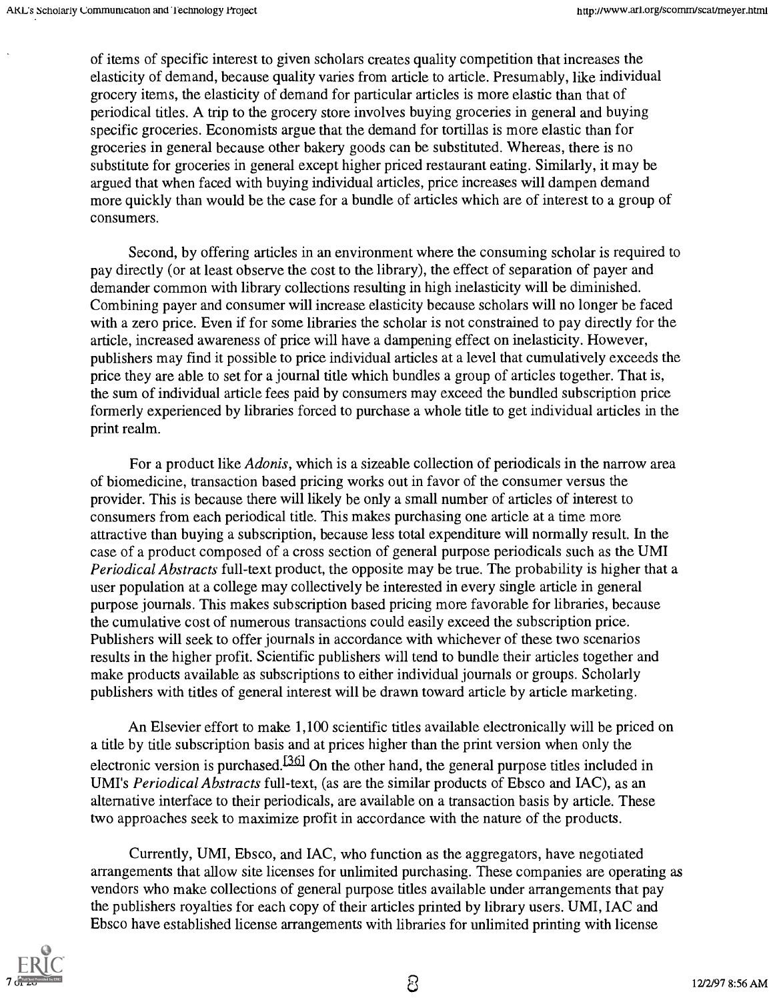of items of specific interest to given scholars creates quality competition that increases the elasticity of demand, because quality varies from article to article. Presumably, like individual grocery items, the elasticity of demand for particular articles is more elastic than that of periodical titles. A trip to the grocery store involves buying groceries in general and buying specific groceries. Economists argue that the demand for tortillas is more elastic than for groceries in general because other bakery goods can be substituted. Whereas, there is no substitute for groceries in general except higher priced restaurant eating. Similarly, it may be argued that when faced with buying individual articles, price increases will dampen demand more quickly than would be the case for a bundle of articles which are of interest to a group of consumers.

Second, by offering articles in an environment where the consuming scholar is required to pay directly (or at least observe the cost to the library), the effect of separation of payer and demander common with library collections resulting in high inelasticity will be diminished. Combining payer and consumer will increase elasticity because scholars will no longer be faced with a zero price. Even if for some libraries the scholar is not constrained to pay directly for the article, increased awareness of price will have a dampening effect on inelasticity. However, publishers may find it possible to price individual articles at a level that cumulatively exceeds the price they are able to set for a journal title which bundles a group of articles together. That is, the sum of individual article fees paid by consumers may exceed the bundled subscription price formerly experienced by libraries forced to purchase a whole title to get individual articles in the print realm.

For a product like Adonis, which is a sizeable collection of periodicals in the narrow area of biomedicine, transaction based pricing works out in favor of the consumer versus the provider. This is because there will likely be only a small number of articles of interest to consumers from each periodical title. This makes purchasing one article at a time more attractive than buying a subscription, because less total expenditure will normally result. In the case of a product composed of a cross section of general purpose periodicals such as the UMI Periodical Abstracts full-text product, the opposite may be true. The probability is higher that a user population at a college may collectively be interested in every single article in general purpose journals. This makes subscription based pricing more favorable for libraries, because the cumulative cost of numerous transactions could easily exceed the subscription price. Publishers will seek to offer journals in accordance with whichever of these two scenarios results in the higher profit. Scientific publishers will tend to bundle their articles together and make products available as subscriptions to either individual journals or groups. Scholarly publishers with titles of general interest will be drawn toward article by article marketing.

An Elsevier effort to make 1,100 scientific titles available electronically will be priced on a title by title subscription basis and at prices higher than the print version when only the electronic version is purchased.<sup>[36]</sup> On the other hand, the general purpose titles included in UMI's Periodical Abstracts full-text, (as are the similar products of Ebsco and IAC), as an alternative interface to their periodicals, are available on a transaction basis by article. These two approaches seek to maximize profit in accordance with the nature of the products.

Currently, UMI, Ebsco, and IAC, who function as the aggregators, have negotiated arrangements that allow site licenses for unlimited purchasing. These companies are operating as vendors who make collections of general purpose titles available under arrangements that pay the publishers royalties for each copy of their articles printed by library users. UMI, IAC and Ebsco have established license arrangements with libraries for unlimited printing with license

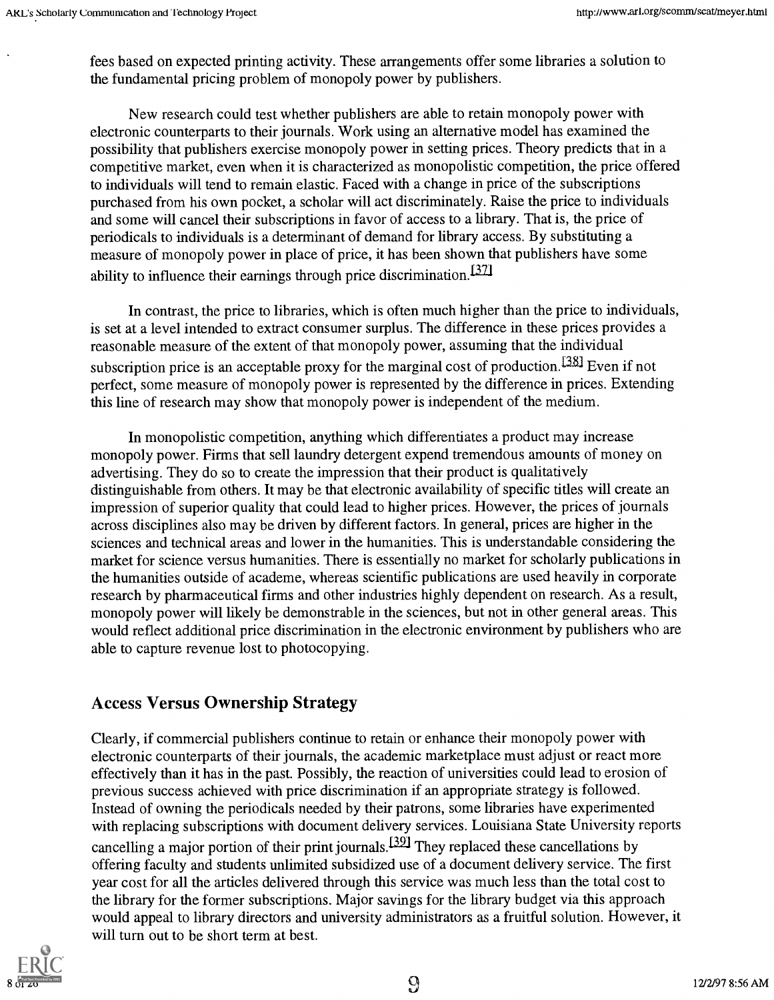fees based on expected printing activity. These arrangements offer some libraries a solution to the fundamental pricing problem of monopoly power by publishers.

New research could test whether publishers are able to retain monopoly power with electronic counterparts to their journals. Work using an alternative model has examined the possibility that publishers exercise monopoly power in setting prices. Theory predicts that in a competitive market, even when it is characterized as monopolistic competition, the price offered to individuals will tend to remain elastic. Faced with a change in price of the subscriptions purchased from his own pocket, a scholar will act discriminately. Raise the price to individuals and some will cancel their subscriptions in favor of access to a library. That is, the price of periodicals to individuals is a determinant of demand for library access. By substituting a measure of monopoly power in place of price, it has been shown that publishers have some ability to influence their earnings through price discrimination.<sup>[37]</sup>

In contrast, the price to libraries, which is often much higher than the price to individuals, is set at a level intended to extract consumer surplus. The difference in these prices provides a reasonable measure of the extent of that monopoly power, assuming that the individual subscription price is an acceptable proxy for the marginal cost of production.<sup>[38]</sup> Even if not perfect, some measure of monopoly power is represented by the difference in prices. Extending this line of research may show that monopoly power is independent of the medium.

In monopolistic competition, anything which differentiates a product may increase monopoly power. Firms that sell laundry detergent expend tremendous amounts of money on advertising. They do so to create the impression that their product is qualitatively distinguishable from others. It may be that electronic availability of specific titles will create an impression of superior quality that could lead to higher prices. However, the prices of journals across disciplines also may be driven by different factors. In general, prices are higher in the sciences and technical areas and lower in the humanities. This is understandable considering the market for science versus humanities. There is essentially no market for scholarly publications in the humanities outside of academe, whereas scientific publications are used heavily in corporate research by pharmaceutical firms and other industries highly dependent on research. As a result, monopoly power will likely be demonstrable in the sciences, but not in other general areas. This would reflect additional price discrimination in the electronic environment by publishers who are able to capture revenue lost to photocopying.

# Access Versus Ownership Strategy

Clearly, if commercial publishers continue to retain or enhance their monopoly power with electronic counterparts of their journals, the academic marketplace must adjust or react more effectively than it has in the past. Possibly, the reaction of universities could lead to erosion of previous success achieved with price discrimination if an appropriate strategy is followed. Instead of owning the periodicals needed by their patrons, some libraries have experimented with replacing subscriptions with document delivery services. Louisiana State University reports cancelling a major portion of their print journals.<sup>[39]</sup> They replaced these cancellations by offering faculty and students unlimited subsidized use of a document delivery service. The first year cost for all the articles delivered through this service was much less than the total cost to the library for the former subscriptions. Major savings for the library budget via this approach would appeal to library directors and university administrators as a fruitful solution. However, it will turn out to be short term at best.

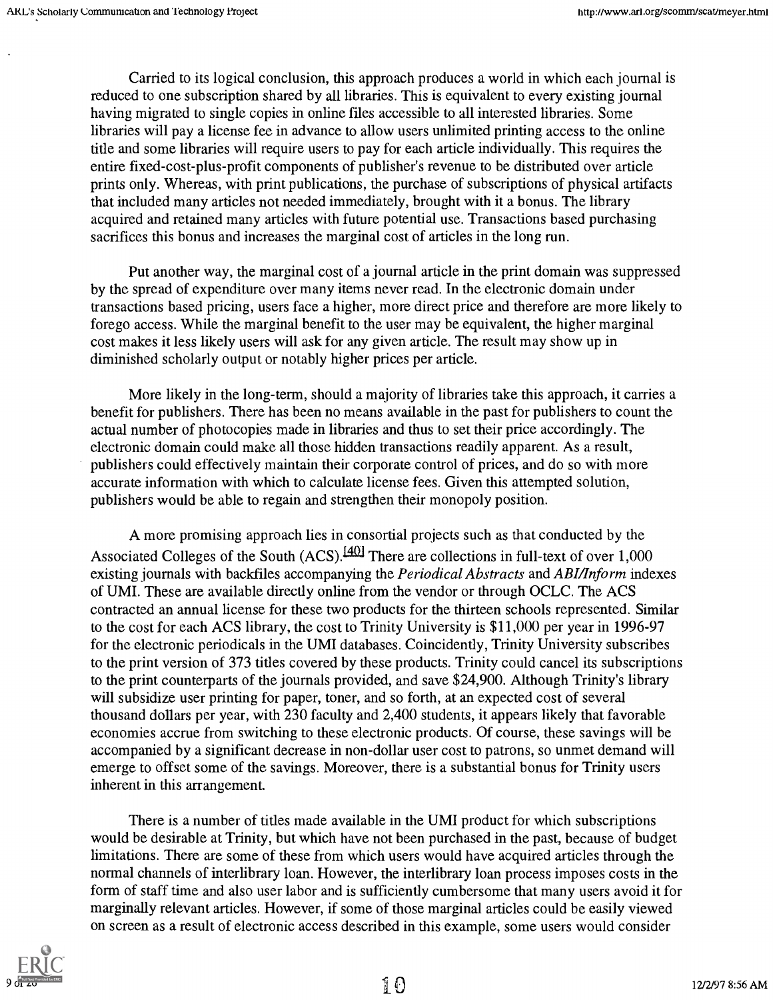Carried to its logical conclusion, this approach produces a world in which each journal is reduced to one subscription shared by all libraries. This is equivalent to every existing journal having migrated to single copies in online files accessible to all interested libraries. Some libraries will pay a license fee in advance to allow users unlimited printing access to the online title and some libraries will require users to pay for each article individually. This requires the entire fixed-cost-plus-profit components of publisher's revenue to be distributed over article prints only. Whereas, with print publications, the purchase of subscriptions of physical artifacts that included many articles not needed immediately, brought with it a bonus. The library acquired and retained many articles with future potential use. Transactions based purchasing sacrifices this bonus and increases the marginal cost of articles in the long run.

Put another way, the marginal cost of a journal article in the print domain was suppressed by the spread of expenditure over many items never read. In the electronic domain under transactions based pricing, users face a higher, more direct price and therefore are more likely to forego access. While the marginal benefit to the user may be equivalent, the higher marginal cost makes it less likely users will ask for any given article. The result may show up in diminished scholarly output or notably higher prices per article.

More likely in the long-term, should a majority of libraries take this approach, it carries a benefit for publishers. There has been no means available in the past for publishers to count the actual number of photocopies made in libraries and thus to set their price accordingly. The electronic domain could make all those hidden transactions readily apparent. As a result, publishers could effectively maintain their corporate control of prices, and do so with more accurate information with which to calculate license fees. Given this attempted solution, publishers would be able to regain and strengthen their monopoly position.

A more promising approach lies in consortial projects such as that conducted by the Associated Colleges of the South (ACS).  $\frac{140J}{100}$  There are collections in full-text of over 1,000 existing journals with backfiles accompanying the *Periodical Abstracts* and *ABI/Inform* indexes of UMI. These are available directly online from the vendor or through OCLC. The ACS contracted an annual license for these two products for the thirteen schools represented. Similar to the cost for each ACS library, the cost to Trinity University is \$11,000 per year in 1996-97 for the electronic periodicals in the UMI databases. Coincidently, Trinity University subscribes to the print version of 373 titles covered by these products. Trinity could cancel its subscriptions to the print counterparts of the journals provided, and save \$24,900. Although Trinity's library will subsidize user printing for paper, toner, and so forth, at an expected cost of several thousand dollars per year, with 230 faculty and 2,400 students, it appears likely that favorable economies accrue from switching to these electronic products. Of course, these savings will be accompanied by a significant decrease in non-dollar user cost to patrons, so unmet demand will emerge to offset some of the savings. Moreover, there is a substantial bonus for Trinity users inherent in this arrangement.

There is a number of titles made available in the UMI product for which subscriptions would be desirable at Trinity, but which have not been purchased in the past, because of budget limitations. There are some of these from which users would have acquired articles through the normal channels of interlibrary loan. However, the interlibrary loan process imposes costs in the form of staff time and also user labor and is sufficiently cumbersome that many users avoid it for marginally relevant articles. However, if some of those marginal articles could be easily viewed on screen as a result of electronic access described in this example, some users would consider

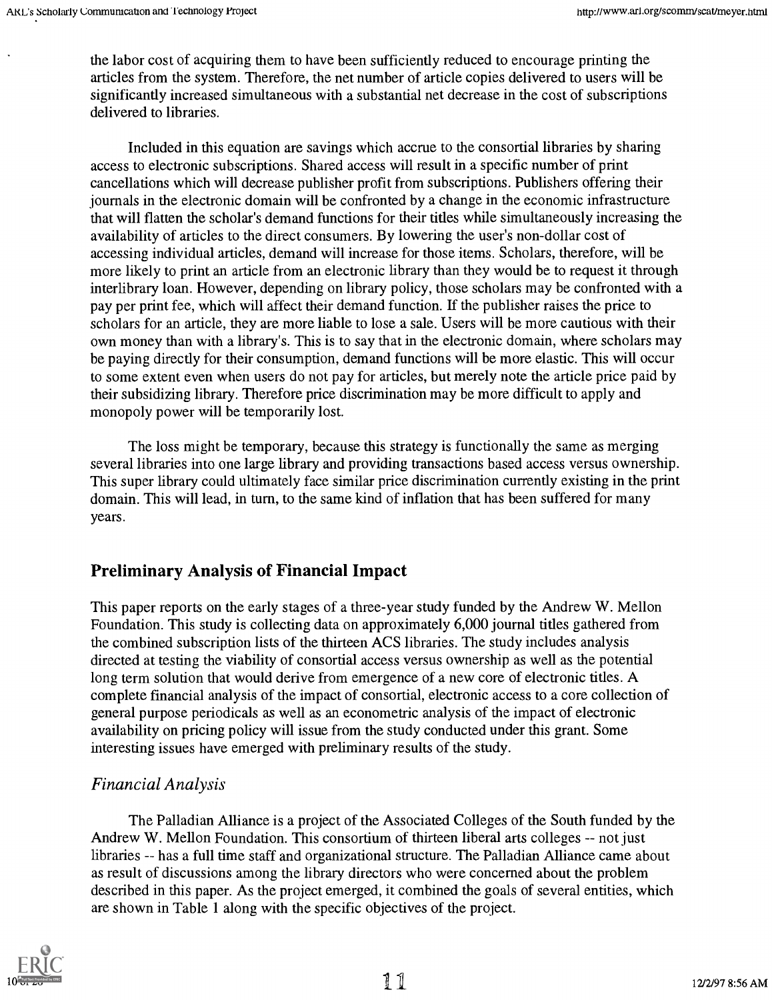the labor cost of acquiring them to have been sufficiently reduced to encourage printing the articles from the system. Therefore, the net number of article copies delivered to users will be significantly increased simultaneous with a substantial net decrease in the cost of subscriptions delivered to libraries.

Included in this equation are savings which accrue to the consortial libraries by sharing access to electronic subscriptions. Shared access will result in a specific number of print cancellations which will decrease publisher profit from subscriptions. Publishers offering their journals in the electronic domain will be confronted by a change in the economic infrastructure that will flatten the scholar's demand functions for their titles while simultaneously increasing the availability of articles to the direct consumers. By lowering the user's non-dollar cost of accessing individual articles, demand will increase for those items. Scholars, therefore, will be more likely to print an article from an electronic library than they would be to request it through interlibrary loan. However, depending on library policy, those scholars may be confronted with a pay per print fee, which will affect their demand function. If the publisher raises the price to scholars for an article, they are more liable to lose a sale. Users will be more cautious with their own money than with a library's. This is to say that in the electronic domain, where scholars may be paying directly for their consumption, demand functions will be more elastic. This will occur to some extent even when users do not pay for articles, but merely note the article price paid by their subsidizing library. Therefore price discrimination may be more difficult to apply and monopoly power will be temporarily lost.

The loss might be temporary, because this strategy is functionally the same as merging several libraries into one large library and providing transactions based access versus ownership. This super library could ultimately face similar price discrimination currently existing in the print domain. This will lead, in turn, to the same kind of inflation that has been suffered for many years.

# Preliminary Analysis of Financial Impact

This paper reports on the early stages of a three-year study funded by the Andrew W. Mellon Foundation. This study is collecting data on approximately 6,000 journal titles gathered from the combined subscription lists of the thirteen ACS libraries. The study includes analysis directed at testing the viability of consortial access versus ownership as well as the potential long term solution that would derive from emergence of a new core of electronic titles. A complete financial analysis of the impact of consortial, electronic access to a core collection of general purpose periodicals as well as an econometric analysis of the impact of electronic availability on pricing policy will issue from the study conducted under this grant. Some interesting issues have emerged with preliminary results of the study.

# Financial Analysis

The Palladian Alliance is a project of the Associated Colleges of the South funded by the Andrew W. Mellon Foundation. This consortium of thirteen liberal arts colleges -- not just libraries -- has a full time staff and organizational structure. The Palladian Alliance came about as result of discussions among the library directors who were concerned about the problem described in this paper. As the project emerged, it combined the goals of several entities, which are shown in Table 1 along with the specific objectives of the project.

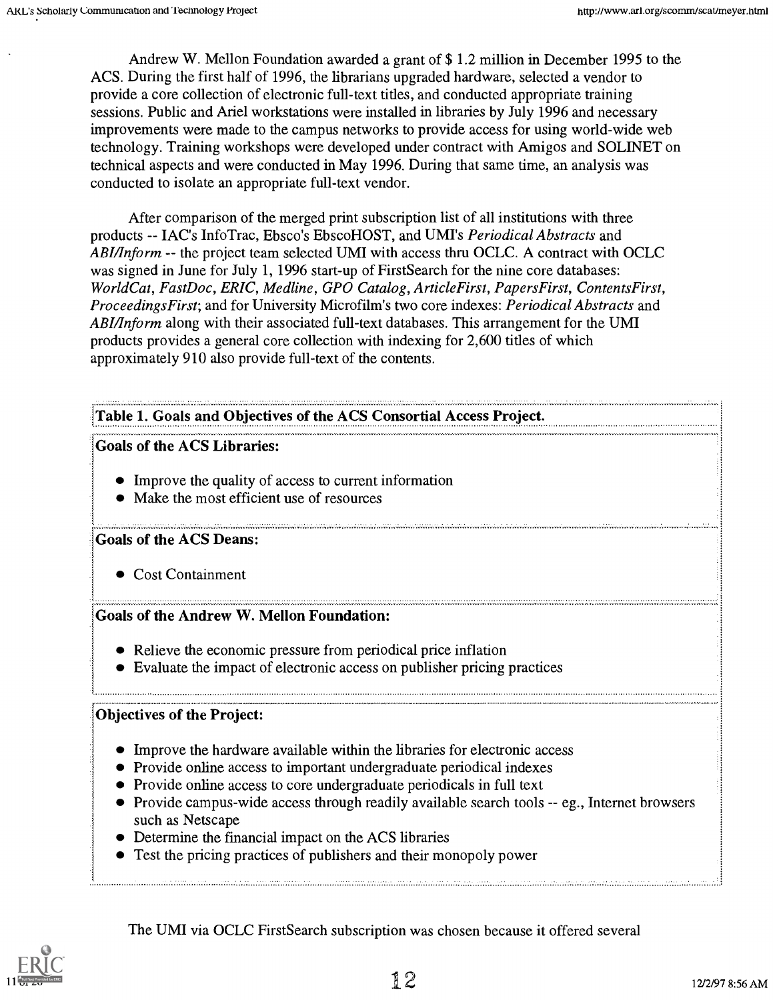Andrew W. Mellon Foundation awarded a grant of \$ 1.2 million in December 1995 to the ACS. During the first half of 1996, the librarians upgraded hardware, selected a vendor to provide a core collection of electronic full-text titles, and conducted appropriate training sessions. Public and Ariel workstations were installed in libraries by July 1996 and necessary improvements were made to the campus networks to provide access for using world-wide web technology. Training workshops were developed under contract with Amigos and SOLINET on technical aspects and were conducted in May 1996. During that same time, an analysis was conducted to isolate an appropriate full-text vendor.

After comparison of the merged print subscription list of all institutions with three products -- IAC's InfoTrac, Ebsco's EbscoHOST, and UMI's Periodical Abstracts and ABI/Inform -- the project team selected UMI with access thru OCLC. A contract with OCLC was signed in June for July 1, 1996 start-up of FirstSearch for the nine core databases: WorldCat, FastDoc, ERIC, Medline, GPO Catalog, ArticleFirst, PapersFirst, ContentsFirst, ProceedingsFirst; and for University Microfilm's two core indexes: Periodical Abstracts and ABI/Inform along with their associated full-text databases. This arrangement for the UMI products provides a general core collection with indexing for 2,600 titles of which approximately 910 also provide full-text of the contents.

## Table 1. Goals and Objectives of the ACS Consortial Access Project.

#### Goals of the ACS Libraries:

- Improve the quality of access to current information
- Make the most efficient use of resources

#### Goals of the ACS Deans:

● Cost Containment

# ,,y. y,,1-7,,-, ,.....-,7.y Goals of the Andrew W. Mellon Foundation:

- Relieve the economic pressure from periodical price inflation
- Evaluate the impact of electronic access on publisher pricing practices

#### Objectives of the Project:

- Improve the hardware available within the libraries for electronic access
- Provide online access to important undergraduate periodical indexes
- Provide online access to core undergraduate periodicals in full text
- $\bullet$  Provide campus-wide access through readily available search tools -- eg., Internet browsers such as Netscape

..

- Determine the financial impact on the ACS libraries
- Test the pricing practices of publishers and their monopoly power



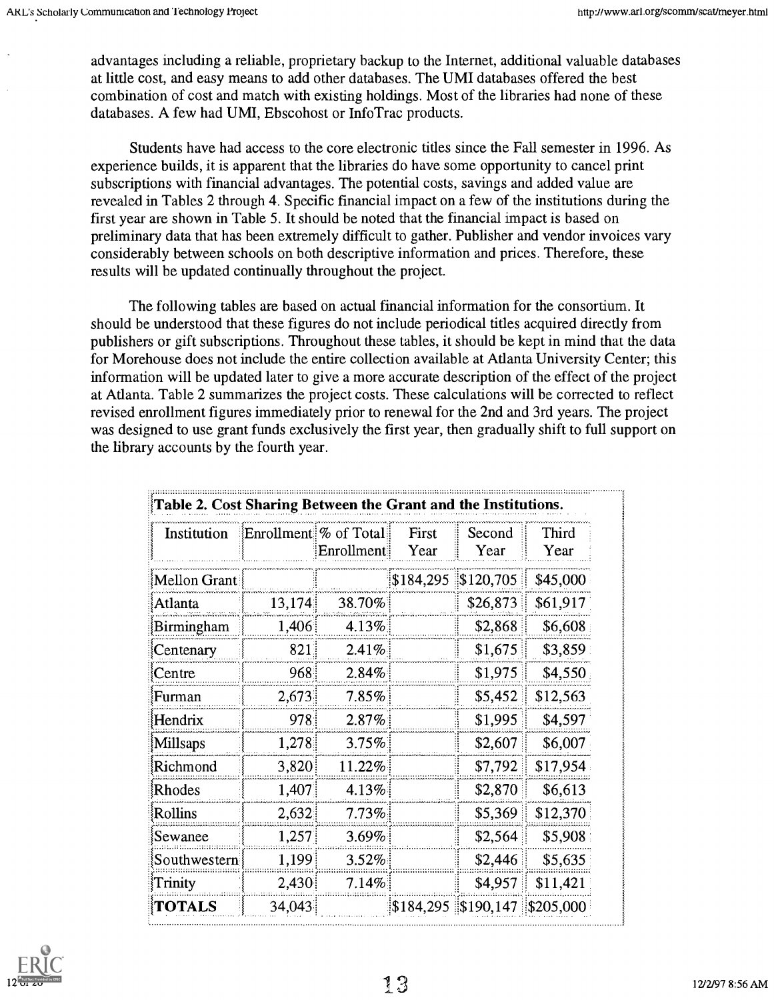advantages including a reliable, proprietary backup to the Internet, additional valuable databases at little cost, and easy means to add other databases. The UMI databases offered the best combination of cost and match with existing holdings. Most of the libraries had none of these databases. A few had UMI, Ebscohost or InfoTrac products.

Students have had access to the core electronic titles since the Fall semester in 1996. As experience builds, it is apparent that the libraries do have some opportunity to cancel print subscriptions with financial advantages. The potential costs, savings and added value are revealed in Tables 2 through 4. Specific financial impact on a few of the institutions during the first year are shown in Table 5. It should be noted that the financial impact is based on preliminary data that has been extremely difficult to gather. Publisher and vendor invoices vary considerably between schools on both descriptive information and prices. Therefore, these results will be updated continually throughout the project.

The following tables are based on actual financial information for the consortium. It should be understood that these figures do not include periodical titles acquired directly from publishers or gift subscriptions. Throughout these tables, it should be kept in mind that the data for Morehouse does not include the entire collection available at Atlanta University Center; this information will be updated later to give a more accurate description of the effect of the project at Atlanta. Table 2 summarizes the project costs. These calculations will be corrected to reflect revised enrollment figures immediately prior to renewal for the 2nd and 3rd years. The project was designed to use grant funds exclusively the first year, then gradually shift to full support on the library accounts by the fourth year.

| Institution     |        | Enrollment % of Total | First | Second                                         | Third    |
|-----------------|--------|-----------------------|-------|------------------------------------------------|----------|
|                 |        | Enrollment            | Year  | Year                                           | Year     |
| Mellon Grant    |        |                       |       | $$184,295$ $$120,705$                          | \$45,000 |
| Atlanta         | 13,174 | 38.70%                |       | \$26,873                                       | \$61,917 |
| Birmingham      | 1,406  | $4.13\%$              |       | \$2,868                                        | \$6,608  |
| Centenary       | 821    | 2.41%                 |       | \$1,675                                        | \$3,859  |
| Centre          | 968    | $2.84\%$              |       | \$1,975                                        | \$4,550  |
| Furman          | 2,673  | $7.85\%$              |       | \$5,452                                        | \$12,563 |
| Hendrix         | 978    | 2.87%                 |       | \$1,995                                        | \$4,597  |
| <b>Millsaps</b> | 1,278  | 3.75%                 |       | \$2,607                                        | \$6,007  |
| Richmond        | 3,820  | 11.22%                |       | \$7,792                                        | \$17,954 |
| Rhodes          | 1,407  | $4.13\%$              |       | \$2,870                                        | \$6,613  |
| Rollins         | 2,632  | $7.73\%$              |       | \$5,369                                        | \$12,370 |
| Sewanee         | 1,257  | $3.69\%$              |       | \$2,564                                        | \$5,908  |
| Southwestern    | 1,199  | $3.52\%$              |       | \$2,446                                        | \$5,635  |
| Trinity         | 2,430  | 7.14%                 |       | \$4,957                                        | \$11,421 |
| <b>TOTALS</b>   | 34,043 |                       |       | $$184,295 \text{ } $190,147 \text{ } $205,000$ |          |

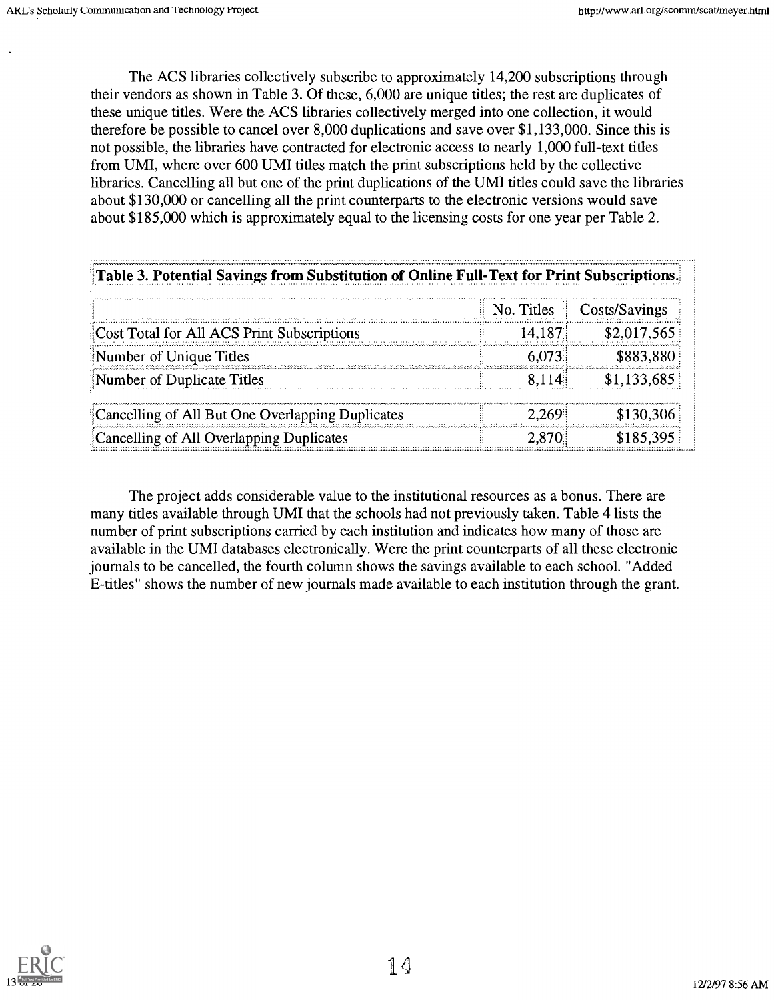The ACS libraries collectively subscribe to approximately 14,200 subscriptions through their vendors as shown in Table 3. Of these, 6,000 are unique titles; the rest are duplicates of these unique titles. Were the ACS libraries collectively merged into one collection, it would therefore be possible to cancel over 8,000 duplications and save over \$1,133,000. Since this is not possible, the libraries have contracted for electronic access to nearly 1,000 full-text titles from UMI, where over 600 UMI titles match the print subscriptions held by the collective libraries. Cancelling all but one of the print duplications of the UMI titles could save the libraries about \$130,000 or cancelling all the print counterparts to the electronic versions would save about \$185,000 which is approximately equal to the licensing costs for one year per Table 2.

|                                                  | No. Titles Costs/Savings |
|--------------------------------------------------|--------------------------|
| Cost Total for All ACS Print Subscriptions       | \$2,017,565              |
| Number of Unique Titles                          |                          |
| Number of Duplicate Titles                       | \$1,133,685              |
| Cancelling of All But One Overlapping Duplicates |                          |
| Cancelling of All Overlapping Duplicates         |                          |

The project adds considerable value to the institutional resources as a bonus. There are many titles available through UMI that the schools had not previously taken. Table 4 lists the number of print subscriptions carried by each institution and indicates how many of those are available in the UMI databases electronically. Were the print counterparts of all these electronic journals to be cancelled, the fourth column shows the savings available to each school. "Added E-titles" shows the number of new journals made available to each institution through the grant.

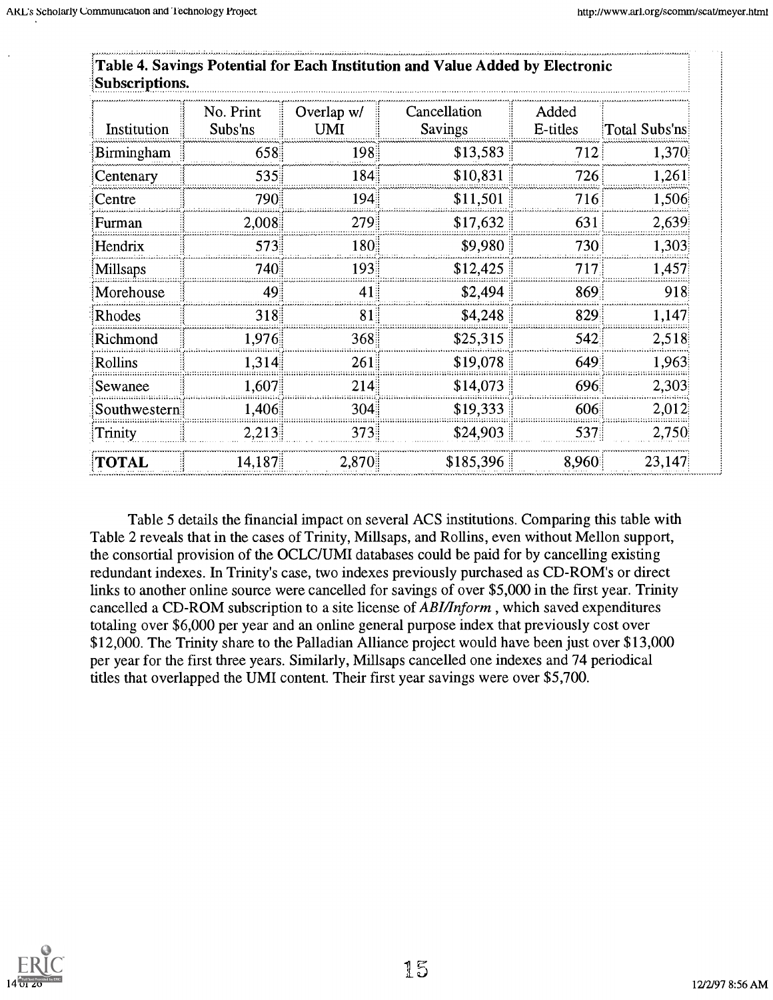| Institution     | No. Print<br>Subs'ns | Overlap w/<br>UMI | Cancellation<br><b>Savings</b> | Added<br>E-titles | Total Subs'ns |
|-----------------|----------------------|-------------------|--------------------------------|-------------------|---------------|
| Birmingham      | 658                  | 198               | \$13,583                       | 712               | 1,370         |
| Centenary       | 535                  | 184               | \$10,831                       | 726               | 1,261         |
| Centre          | 790                  | 194               | \$11,501                       | 716               | 1,506         |
| Furman          | 2,008                | 279               | \$17,632                       | 631               | 2,639         |
| Hendrix         | 573                  | $180^{\circ}$     | \$9,980                        | 730               | 1,303         |
| <b>Millsaps</b> | 740                  | 193               | \$12,425                       | 717               | 1,457         |
| Morehouse       | 49:                  | 41                | \$2,494                        | 869               | 918           |
| Rhodes          | 318                  | 81                | \$4,248                        | 829               | 1,147         |
| Richmond        | 1,976                | 368               | \$25,315                       | 542               | 2,518         |
| Rollins         | 1,314                | 261               | \$19,078                       | 649               | 1,963         |
| Sewanee         | 1,607                | 214               | \$14,073                       | 696               | 2,303         |
| Southwestern    | 1,406                | 304               | \$19,333                       | 606               | 2,012         |
| Trinity         | 2,213                | 373               | \$24,903                       | 537               | 2,750         |
| <b>TOTAL</b>    | 14,187               | 2,870             | \$185,396                      | 8,960             | 23,147        |

.. . . ... . , .Table 4. Savings Potential for Each Institution and Value Added by Electronic

Table 5 details the financial impact on several ACS institutions. Comparing this table with Table 2 reveals that in the cases of Trinity, Millsaps, and Rollins, even without Mellon support, the consortial provision of the OCLC/UMI databases could be paid for by cancelling existing redundant indexes. In Trinity's case, two indexes previously purchased as CD-ROM's or direct links to another online source were cancelled for savings of over \$5,000 in the first year. Trinity cancelled a CD-ROM subscription to a site license of ABI/Inform , which saved expenditures totaling over \$6,000 per year and an online general purpose index that previously cost over \$12,000. The Trinity share to the Palladian Alliance project would have been just over \$13,000 per year for the first three years. Similarly, Millsaps cancelled one indexes and 74 periodical titles that overlapped the UMI content. Their first year savings were over \$5,700.

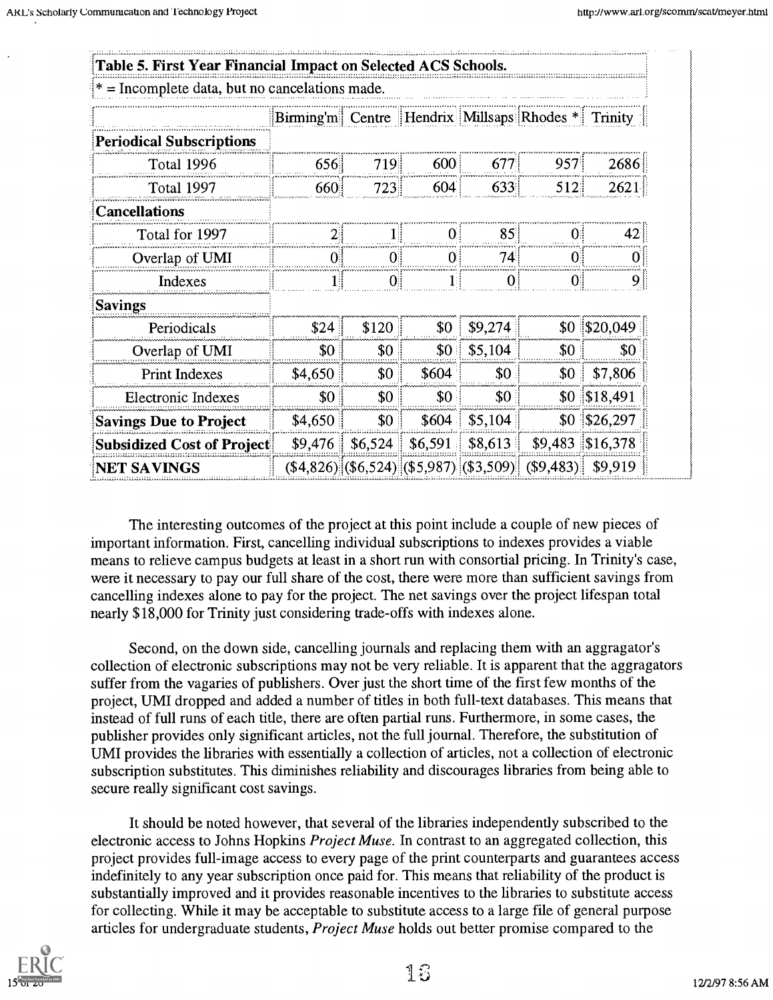| * = Incomplete data, but no cancelations made. |                                                    |                  |             |                  |                                                                                        |                  |
|------------------------------------------------|----------------------------------------------------|------------------|-------------|------------------|----------------------------------------------------------------------------------------|------------------|
|                                                | Birming'm Centre Hendrix Millsaps Rhodes * Trinity |                  |             |                  |                                                                                        |                  |
| <b>Periodical Subscriptions</b>                |                                                    |                  |             |                  |                                                                                        |                  |
| Total 1996                                     | 656                                                | 719              | 600         | 677              | 957                                                                                    | 2686             |
| <b>Total 1997</b>                              | 660                                                | 723              | 604         | 633              | 512                                                                                    | 262              |
| <b>Cancellations</b>                           |                                                    |                  |             |                  |                                                                                        |                  |
| Total for 1997                                 |                                                    |                  |             | 85%              |                                                                                        |                  |
| Overlap of UMI                                 |                                                    | ∩                |             | 74               |                                                                                        |                  |
| Indexes                                        |                                                    | 0                | 1:          | $\vert 0 \vert$  | $\overline{0}$                                                                         |                  |
| <b>Savings</b>                                 |                                                    |                  |             |                  |                                                                                        |                  |
| Periodicals                                    | \$24                                               | \$120            | \$0         | \$9,274          |                                                                                        | $$0$ \$20,049    |
| Overlap of UMI                                 | $$0$ !                                             | $$0$ :           | \$0:        | \$5,104          | \$0                                                                                    | \$0              |
| Print Indexes                                  | \$4,650                                            | \$0              | \$604       | \$0              | \$0:                                                                                   | \$7,806          |
| Electronic Indexes                             | \$0                                                | $$0$ :           | \$0         | \$0              |                                                                                        | \$0 \$18,491     |
| <b>Savings Due to Project</b>                  | \$4,650                                            | \$0              | \$604<br>÷, | \$5,104          |                                                                                        | \$0 \$26,297     |
| Subsidized Cost of Project                     |                                                    | $$9,476$ \$6,524 |             | $$6,591$ \$8,613 |                                                                                        | \$9,483 \$16,378 |
| <b>NET SAVINGS</b>                             |                                                    |                  |             |                  | $($ \$4,826) $[($ \$6,524) $[($ \$5,987) $]$ $($ \$3,509) $]$ $($ \$9,483) $]$ \$9,919 |                  |

The interesting outcomes of the project at this point include a couple of new pieces of important information. First, cancelling individual subscriptions to indexes provides a viable means to relieve campus budgets at least in a short run with consortial pricing. In Trinity's case, were it necessary to pay our full share of the cost, there were more than sufficient savings from cancelling indexes alone to pay for the project. The net savings over the project lifespan total nearly \$18,000 for Trinity just considering trade-offs with indexes alone.

Second, on the down side, cancelling journals and replacing them with an aggragator's collection of electronic subscriptions may not be very reliable. It is apparent that the aggragators suffer from the vagaries of publishers. Over just the short time of the first few months of the project, UMI dropped and added a number of titles in both full-text databases. This means that instead of full runs of each title, there are often partial runs. Furthermore, in some cases, the publisher provides only significant articles, not the full journal. Therefore, the substitution of UMI provides the libraries with essentially a collection of articles, not a collection of electronic subscription substitutes. This diminishes reliability and discourages libraries from being able to secure really significant cost savings.

It should be noted however, that several of the libraries independently subscribed to the electronic access to Johns Hopkins *Project Muse*. In contrast to an aggregated collection, this project provides full-image access to every page of the print counterparts and guarantees access indefinitely to any year subscription once paid for. This means that reliability of the product is substantially improved and it provides reasonable incentives to the libraries to substitute access for collecting. While it may be acceptable to substitute access to a large file of general purpose articles for undergraduate students, Project Muse holds out better promise compared to the

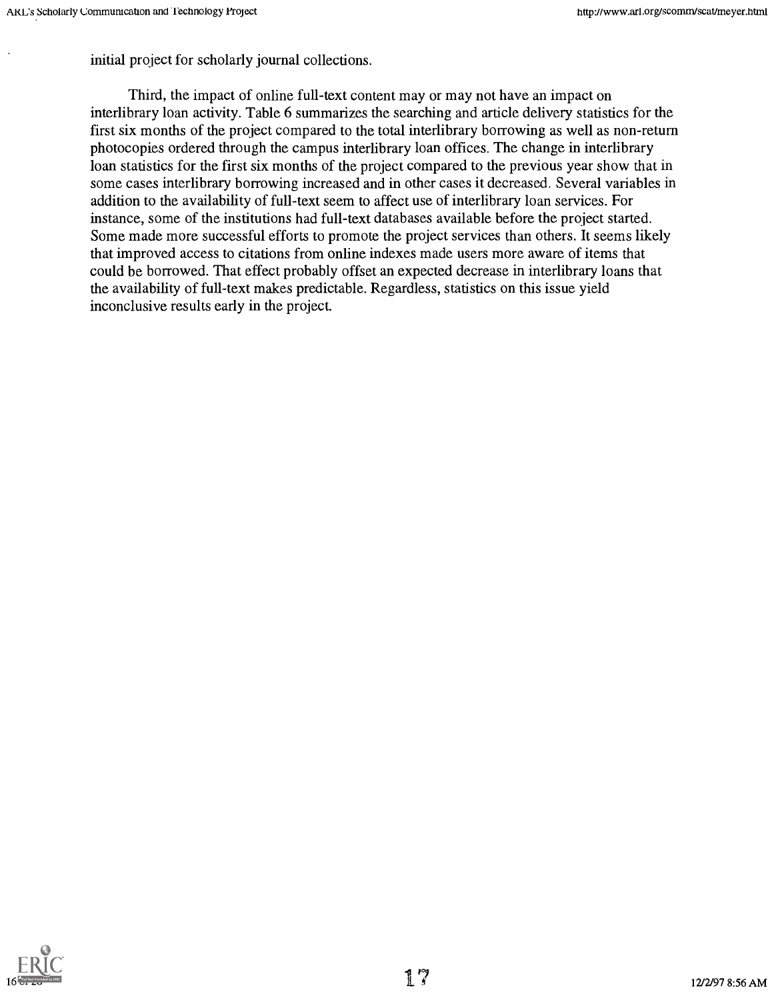initial project for scholarly journal collections.

Third, the impact of online full-text content may or may not have an impact on interlibrary loan activity. Table 6 summarizes the searching and article delivery statistics for the first six months of the project compared to the total interlibrary borrowing as well as non-return photocopies ordered through the campus interlibrary loan offices. The change in interlibrary loan statistics for the first six months of the project compared to the previous year show that in some cases interlibrary borrowing increased and in other cases it decreased. Several variables in addition to the availability of full-text seem to affect use of interlibrary loan services. For instance, some of the institutions had full-text databases available before the project started. Some made more successful efforts to promote the project services than others. It seems likely that improved access to citations from online indexes made users more aware of items that could be borrowed. That effect probably offset an expected decrease in interlibrary loans that the availability of full-text makes predictable. Regardless, statistics on this issue yield inconclusive results early in the project.

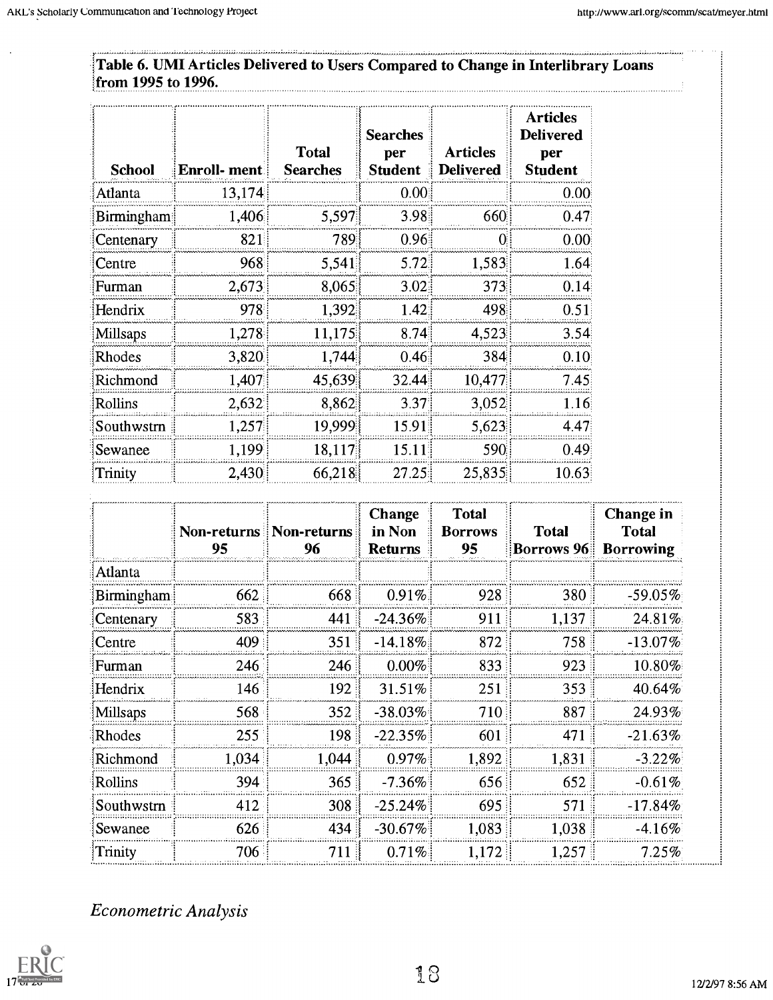#### Table 6. UMI Articles Delivered to Users Compared to Change in Interlibrary Loans from 1995 to 1996.

| <b>School</b>     | Enroll- ment | <b>Total</b><br><b>Searches</b> | <b>Searches</b><br>per<br><b>Student</b> | <b>Articles</b><br><b>Delivered</b> | <b>Articles</b><br><b>Delivered</b><br>per<br><b>Student</b> |
|-------------------|--------------|---------------------------------|------------------------------------------|-------------------------------------|--------------------------------------------------------------|
| Atlanta           | 13,174       |                                 | 0.00                                     |                                     | 0.00                                                         |
| <b>Birmingham</b> | 1,406        | 5,597                           | 3.98                                     | 660                                 | 0.47                                                         |
| Centenary         | 821          | 789                             | 0.96                                     |                                     | $0.00\,$                                                     |
| Centre            | 968          | 5,541                           | 5.72                                     | 1,583                               | 1.64                                                         |
| Furman            | 2,673        | 8,065                           | 3.02                                     | 373                                 | 014                                                          |
| Hendrix           | 978          | 1,392                           | 1.42                                     | 498                                 | 0.51                                                         |
| Millsaps          | 1,278        | 11,175                          | 8.74                                     | 4,523                               | 3.54                                                         |
| Rhodes            | 3,820        | 1,744                           | 0.46                                     | 384                                 | 0.10                                                         |
| Richmond          | 1,407        | 45,639                          | 32.44                                    | 10,477                              | 7.45                                                         |
| Rollins           | 2,632        | 8,862                           | 3.37                                     | 3,052                               | 1.16                                                         |
| Southwstrn        | 1,257        | 19,999                          | 15.91                                    | 5,623                               | 4.47                                                         |
| Sewanee           | 1,199        | 18,117                          | 15.11                                    | 590                                 | 0.49                                                         |
| Trinity           | 2,430        | 66,218                          | 27.25                                    | 25,835                              | 10.63                                                        |

|            | 95    | <b>Non-returns Non-returns</b><br>96 | <b>Change</b><br>in Non | <b>Total</b><br><b>Borrows</b><br>95 | <b>Total</b>      | Change in<br><b>Total</b> |
|------------|-------|--------------------------------------|-------------------------|--------------------------------------|-------------------|---------------------------|
| Atlanta    |       |                                      | <b>Returns</b>          |                                      | <b>Borrows 96</b> | <b>Borrowing</b>          |
| Birmingham | 662   | 668                                  | $0.91\%$                | 928                                  | 380               | -59.05                    |
| Centenary  | 583   | 441                                  | $-24.36%$               | 911                                  | 1,137             | 24.81%                    |
| Centre     | 409   | 351                                  | $-14.18%$               | 872                                  | 758               | $-13.07\%$                |
| Furman     | 246   | 246:                                 | $0.00\%$                | 833                                  | 923               | 10.80%                    |
| Hendrix    | 146   | 192                                  | 31.51%                  | 251                                  | 353 <sup>3</sup>  | 40.64%                    |
| Millsaps   | 568   | 352                                  | $-38.03\%$              | 710                                  | 887               | 24.93%                    |
| Rhodes     | 255   | 198                                  | $-22.35%$               | 601                                  | 471               | $-21.63%$                 |
| Richmond   | 1,034 | 1,044                                | 0.97%                   | 1,892                                | 1,831             | $-3.22%$                  |
| Rollins    | 394   | 365                                  | $-7.36\%$               | 656                                  | 652               | $-0.61%$                  |
| Southwstrn | 412   | 308                                  | $-25.24\%$              | 695                                  | 571               | $-17.84%$                 |
| Sewanee    | 626   | 434                                  | $-30.67\%$              | 1,083                                | 1,038             | $-4.16\%$                 |
| Trinity    | 706   | $711\,\frac{3}{2}$                   | $0.71\%$                | 1,172                                | 1,257             | 7.25%                     |

Econometric Analysis

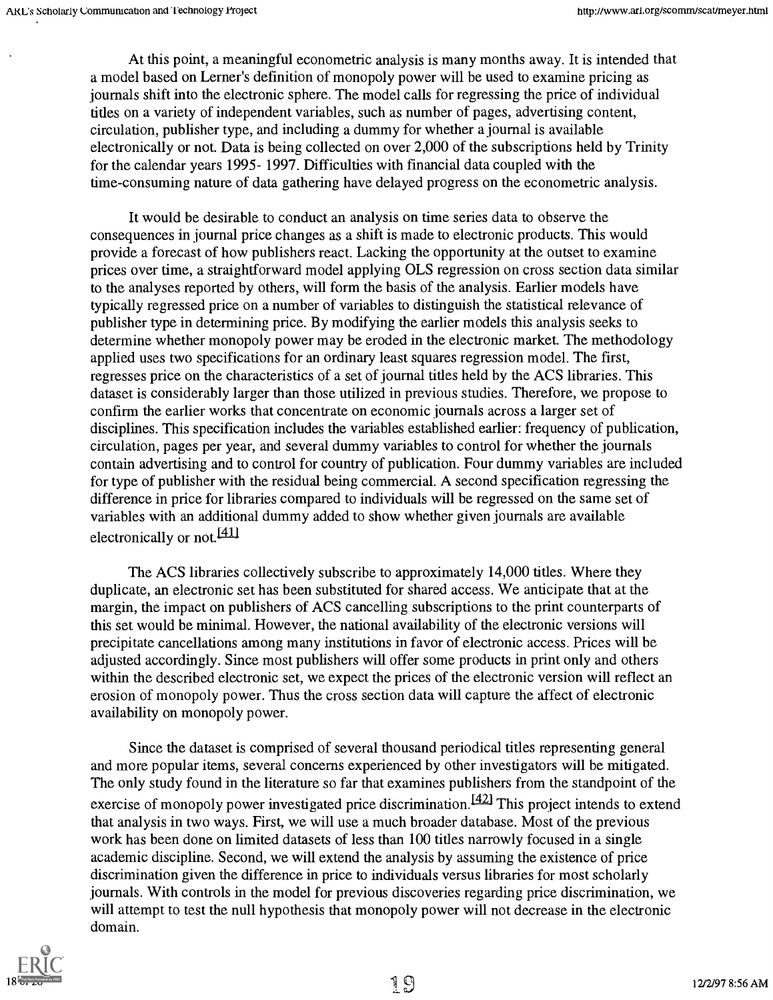At this point, a meaningful econometric analysis is many months away. It is intended that a model based on Lerner's definition of monopoly power will be used to examine pricing as journals shift into the electronic sphere. The model calls for regressing the price of individual titles on a variety of independent variables, such as number of pages, advertising content, circulation, publisher type, and including a dummy for whether a journal is available electronically or not. Data is being collected on over 2,000 of the subscriptions held by Trinity for the calendar years 1995- 1997. Difficulties with financial data coupled with the time-consuming nature of data gathering have delayed progress on the econometric analysis.

It would be desirable to conduct an analysis on time series data to observe the consequences in journal price changes as a shift is made to electronic products. This would provide a forecast of how publishers react. Lacking the opportunity at the outset to examine prices over time, a straightforward model applying OLS regression on cross section data similar to the analyses reported by others, will form the basis of the analysis. Earlier models have typically regressed price on a number of variables to distinguish the statistical relevance of publisher type in determining price. By modifying the earlier models this analysis seeks to determine whether monopoly power may be eroded in the electronic market. The methodology applied uses two specifications for an ordinary least squares regression model. The first, regresses price on the characteristics of a set of journal titles held by the ACS libraries. This dataset is considerably larger than those utilized in previous studies. Therefore, we propose to confirm the earlier works that concentrate on economic journals across a larger set of disciplines. This specification includes the variables established earlier: frequency of publication, circulation, pages per year, and several dummy variables to control for whether the journals contain advertising and to control for country of publication. Four dummy variables are included for type of publisher with the residual being commercial. A second specification regressing the difference in price for libraries compared to individuals will be regressed on the same set of variables with an additional dummy added to show whether given journals are available electronically or not.<sup>[41]</sup>

The ACS libraries collectively subscribe to approximately 14,000 titles. Where they duplicate, an electronic set has been substituted for shared access. We anticipate that at the margin, the impact on publishers of ACS cancelling subscriptions to the print counterparts of this set would be minimal. However, the national availability of the electronic versions will precipitate cancellations among many institutions in favor of electronic access. Prices will be adjusted accordingly. Since most publishers will offer some products in print only and others within the described electronic set, we expect the prices of the electronic version will reflect an erosion of monopoly power. Thus the cross section data will capture the affect of electronic availability on monopoly power.

Since the dataset is comprised of several thousand periodical titles representing general and more popular items, several concerns experienced by other investigators will be mitigated. The only study found in the literature so far that examines publishers from the standpoint of the exercise of monopoly power investigated price discrimination.<sup>[42]</sup> This project intends to extend that analysis in two ways. First, we will use a much broader database. Most of the previous work has been done on limited datasets of less than 100 titles narrowly focused in a single academic discipline. Second, we will extend the analysis by assuming the existence of price discrimination given the difference in price to individuals versus libraries for most scholarly journals. With controls in the model for previous discoveries regarding price discrimination, we will attempt to test the null hypothesis that monopoly power will not decrease in the electronic domain.

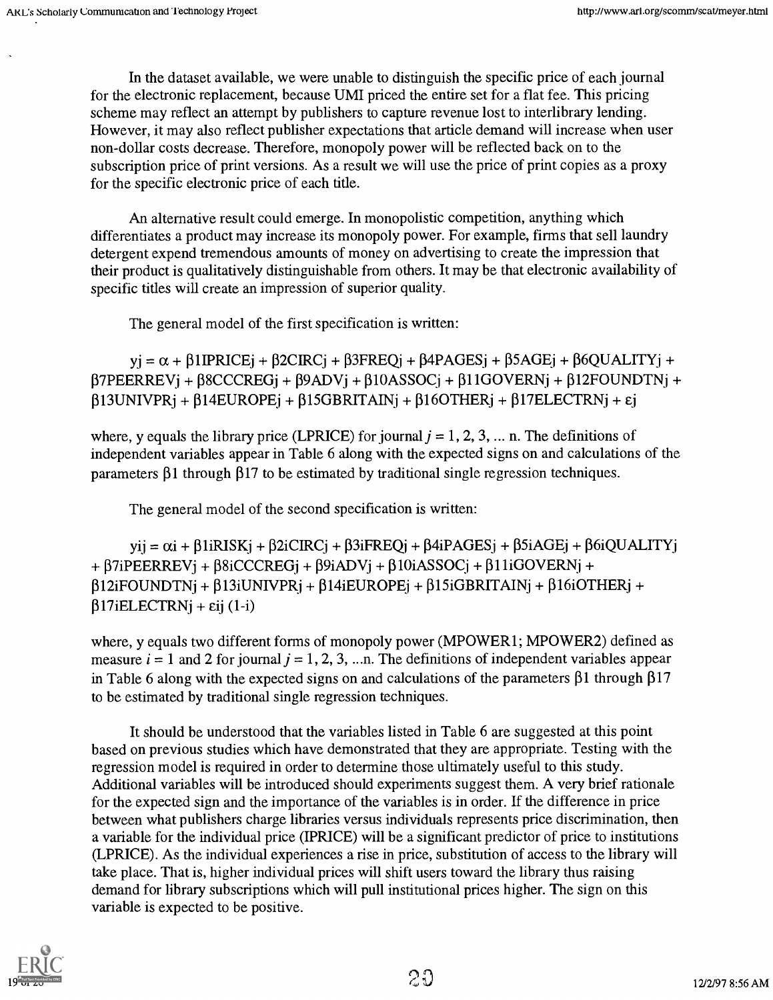In the dataset available, we were unable to distinguish the specific price of each journal for the electronic replacement, because UMI priced the entire set for a flat fee. This pricing scheme may reflect an attempt by publishers to capture revenue lost to interlibrary lending. However, it may also reflect publisher expectations that article demand will increase when user non-dollar costs decrease. Therefore, monopoly power will be reflected back on to the subscription price of print versions. As a result we will use the price of print copies as a proxy for the specific electronic price of each title.

An alternative result could emerge. In monopolistic competition, anything which differentiates a product may increase its monopoly power. For example, firms that sell laundry detergent expend tremendous amounts of money on advertising to create the impression that their product is qualitatively distinguishable from others. It may be that electronic availability of specific titles will create an impression of superior quality.

The general model of the first specification is written:

 $yi = \alpha + \beta 1IPRICEj + \beta 2CIRCj + \beta 3FREQj + \beta 4PAGESj + \beta 5AGEj + \beta 6QUALITYj +$  $\beta$ 7PEERREVj +  $\beta$ 8CCCREGj +  $\beta$ 9ADVj +  $\beta$ 10ASSOCj +  $\beta$ 11GOVERNj +  $\beta$ 12FOUNDTNj +  $613$ UNIVPR $i + \beta$ 14EUROPE $i + \beta$ 15GBRITAIN $i + \beta$ 16OTHER $i + \beta$ 17ELECTRN $i + \varepsilon$ i

where, y equals the library price (LPRICE) for journal  $j = 1, 2, 3, ...$  n. The definitions of independent variables appear in Table 6 along with the expected signs on and calculations of the parameters  $\beta$ 1 through  $\beta$ 17 to be estimated by traditional single regression techniques.

The general model of the second specification is written:

 $vii = \alpha i + \beta 1iRISKi + \beta 2iCIRCi + \beta 3iFREOi + \beta 4iPAGESi + \beta 5iAGEi + \beta 6iQUALITYi$  $+ \beta$ 7iPEERREV $i + \beta$ 8iCCCREG $i + \beta$ 9iADV $i + \beta$ 10iASSOC $i + \beta$ 11iGOVERN $i +$  $\beta$ 12iFOUNDTNj +  $\beta$ 13iUNIVPRj +  $\beta$ 14iEUROPEj +  $\beta$ 15iGBRITAINj +  $\beta$ 16iOTHERj +  $\beta$ 17iELECTRNj +  $\varepsilon$ ij (1-i)

where, y equals two different forms of monopoly power (MPOWER1; MPOWER2) defined as measure  $i = 1$  and 2 for journal  $j = 1, 2, 3, ...$  The definitions of independent variables appear in Table 6 along with the expected signs on and calculations of the parameters  $\beta$ 1 through  $\beta$ 17 to be estimated by traditional single regression techniques.

It should be understood that the variables listed in Table 6 are suggested at this point based on previous studies which have demonstrated that they are appropriate. Testing with the regression model is required in order to determine those ultimately useful to this study. Additional variables will be introduced should experiments suggest them. A very brief rationale for the expected sign and the importance of the variables is in order. If the difference in price between what publishers charge libraries versus individuals represents price discrimination, then a variable for the individual price (IPRICE) will be a significant predictor of price to institutions (LPRICE). As the individual experiences a rise in price, substitution of access to the library will take place. That is, higher individual prices will shift users toward the library thus raising demand for library subscriptions which will pull institutional prices higher. The sign on this variable is expected to be positive.

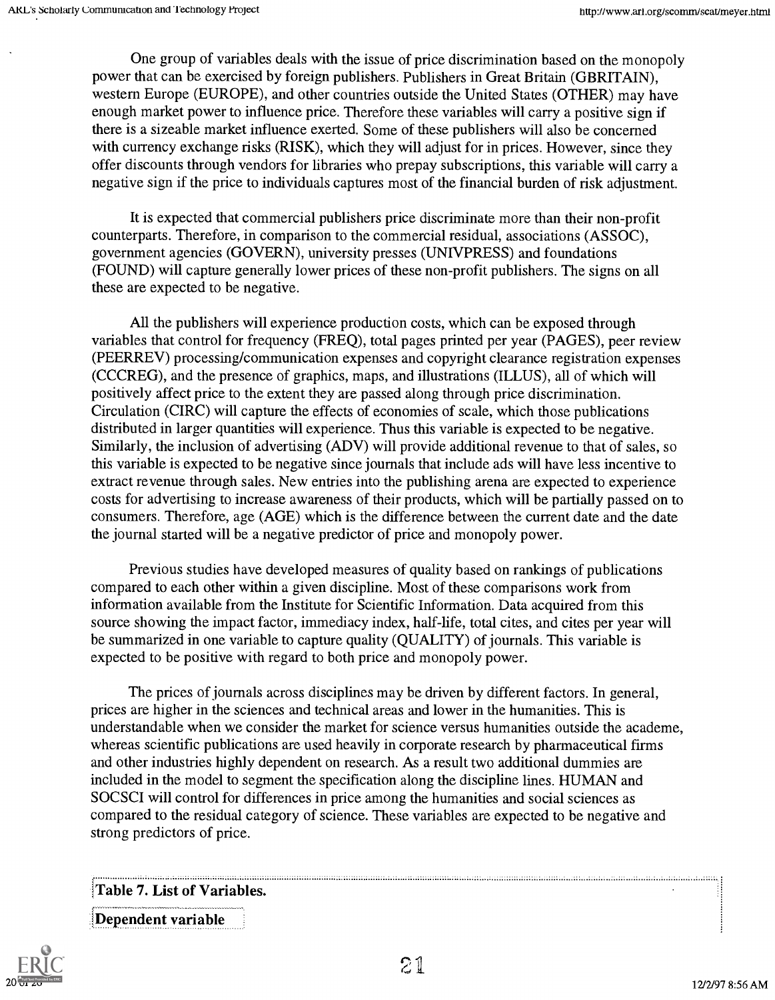One group of variables deals with the issue of price discrimination based on the monopoly power that can be exercised by foreign publishers. Publishers in Great Britain (GBRITAIN), western Europe (EUROPE), and other countries outside the United States (OTHER) may have enough market power to influence price. Therefore these variables will carry a positive sign if there is a sizeable market influence exerted. Some of these publishers will also be concerned with currency exchange risks (RISK), which they will adjust for in prices. However, since they offer discounts through vendors for libraries who prepay subscriptions, this variable will carry a negative sign if the price to individuals captures most of the financial burden of risk adjustment.

It is expected that commercial publishers price discriminate more than their non-profit counterparts. Therefore, in comparison to the commercial residual, associations (ASSOC), government agencies (GOVERN), university presses (UNIVPRESS) and foundations (FOUND) will capture generally lower prices of these non-profit publishers. The signs on all these are expected to be negative.

All the publishers will experience production costs, which can be exposed through variables that control for frequency (FREQ), total pages printed per year (PAGES), peer review (PEERREV) processing/communication expenses and copyright clearance registration expenses (CCCREG), and the presence of graphics, maps, and illustrations (ILLUS), all of which will positively affect price to the extent they are passed along through price discrimination. Circulation (CIRC) will capture the effects of economies of scale, which those publications distributed in larger quantities will experience. Thus this variable is expected to be negative. Similarly, the inclusion of advertising (ADV) will provide additional revenue to that of sales, so this variable is expected to be negative since journals that include ads will have less incentive to extract revenue through sales. New entries into the publishing arena are expected to experience costs for advertising to increase awareness of their products, which will be partially passed on to consumers. Therefore, age (AGE) which is the difference between the current date and the date the journal started will be a negative predictor of price and monopoly power.

Previous studies have developed measures of quality based on rankings of publications compared to each other within a given discipline. Most of these comparisons work from information available from the Institute for Scientific Information. Data acquired from this source showing the impact factor, immediacy index, half-life, total cites, and cites per year will be summarized in one variable to capture quality (QUALITY) of journals. This variable is expected to be positive with regard to both price and monopoly power.

The prices of journals across disciplines may be driven by different factors. In general, prices are higher in the sciences and technical areas and lower in the humanities. This is understandable when we consider the market for science versus humanities outside the academe, whereas scientific publications are used heavily in corporate research by pharmaceutical firms and other industries highly dependent on research. As a result two additional dummies are included in the model to segment the specification along the discipline lines. HUMAN and SOCSCI will control for differences in price among the humanities and social sciences as compared to the residual category of science. These variables are expected to be negative and strong predictors of price.

Table 7. List of Variables.

.

:Dependent variable



11.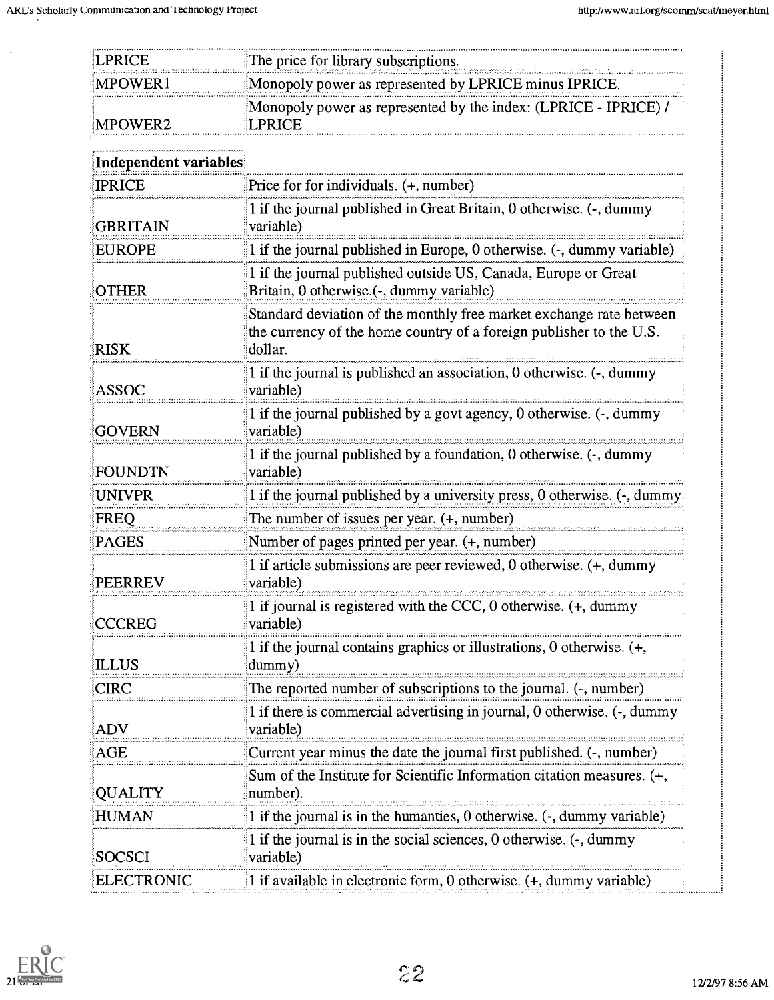÷

 $\ddot{\phantom{1}}$ 

| I PRICE   | ICE The price for library subscriptions.<br>With the control of the control of the second instruction of the control of the control of the control of the second control of |
|-----------|-----------------------------------------------------------------------------------------------------------------------------------------------------------------------------|
| MPOWER 1: | Monopoly power as represented by LPRICE minus IPRICE.                                                                                                                       |
|           | Monopoly power as represented by the index: (LPRICE - IPRICE) /                                                                                                             |
| MPOWER2.  | <b>LPRICE</b>                                                                                                                                                               |

# 'Independent variables

| Price for for individuals. (+, number)<br><b>IPRICE</b>                                                                                                              |  |
|----------------------------------------------------------------------------------------------------------------------------------------------------------------------|--|
| 1 if the journal published in Great Britain, 0 otherwise. (-, dummy<br><b>GBRITAIN</b><br>variable)                                                                  |  |
| 1 if the journal published in Europe, 0 otherwise. (-, dummy variable)<br><b>EUROPE</b>                                                                              |  |
| 1 if the journal published outside US, Canada, Europe or Great<br>Britain, 0 otherwise. (-, dummy variable)<br><b>OTHER</b>                                          |  |
| Standard deviation of the monthly free market exchange rate between<br>the currency of the home country of a foreign publisher to the U.S.<br>dollar.<br><b>RISK</b> |  |
| 1 if the journal is published an association, 0 otherwise. (-, dummy<br>ASSOC<br>variable)                                                                           |  |
| 1 if the journal published by a govt agency, 0 otherwise. (-, dummy<br><b>GOVERN</b><br>variable)                                                                    |  |
| 1 if the journal published by a foundation, 0 otherwise. (-, dummy<br>FOUNDTN<br>variable)                                                                           |  |
| <b>UNIVPR</b><br>1 if the journal published by a university press, 0 otherwise. (-, dummy                                                                            |  |
| The number of issues per year. (+, number)<br><b>FREQ</b>                                                                                                            |  |
| Number of pages printed per year. (+, number)<br><b>PAGES</b>                                                                                                        |  |
| 1 if article submissions are peer reviewed, 0 otherwise. (+, dummy<br><b>PEERREV</b><br>variable)                                                                    |  |
| 1 if journal is registered with the CCC, 0 otherwise. (+, dummy<br><b>CCCREG</b><br>variable)                                                                        |  |
| 1 if the journal contains graphics or illustrations, 0 otherwise. (+,<br>ILLUS<br>dummy)                                                                             |  |
| <b>CIRC</b><br>The reported number of subscriptions to the journal. (-, number)                                                                                      |  |
| 1 if there is commercial advertising in journal, 0 otherwise. (-, dummy<br>ADV<br>variable)                                                                          |  |
| <b>AGE</b><br>Current year minus the date the journal first published. (-, number)                                                                                   |  |
| Sum of the Institute for Scientific Information citation measures. (+,<br><b>QUALITY</b><br>inumber).                                                                |  |
| <b>HUMAN</b><br>1 if the journal is in the humanties, 0 otherwise. (-, dummy variable)                                                                               |  |
| 1 if the journal is in the social sciences, 0 otherwise. (-, dummy<br><b>SOCSCI</b><br>variable)                                                                     |  |
| <b>ELECTRONIC</b><br>1 if available in electronic form, 0 otherwise. (+, dummy variable)                                                                             |  |

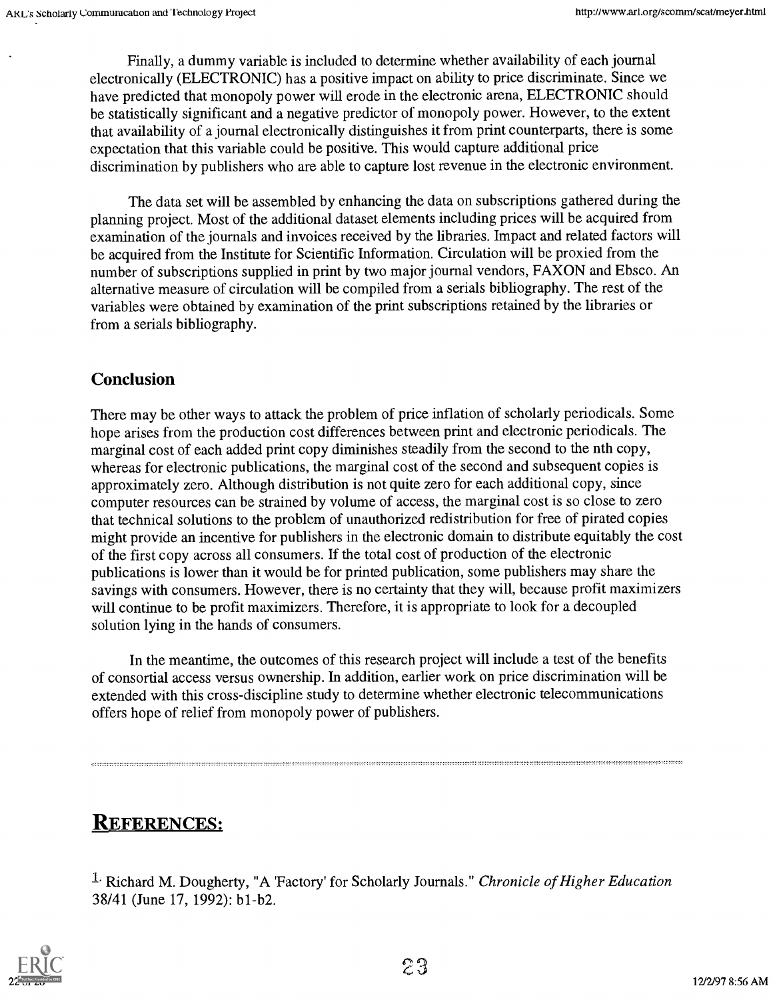Finally, a dummy variable is included to determine whether availability of each journal electronically (ELECTRONIC) has a positive impact on ability to price discriminate. Since we have predicted that monopoly power will erode in the electronic arena, ELECTRONIC should be statistically significant and a negative predictor of monopoly power. However, to the extent that availability of a journal electronically distinguishes it from print counterparts, there is some expectation that this variable could be positive. This would capture additional price discrimination by publishers who are able to capture lost revenue in the electronic environment.

The data set will be assembled by enhancing the data on subscriptions gathered during the planning project. Most of the additional dataset elements including prices will be acquired from examination of the journals and invoices received by the libraries. Impact and related factors will be acquired from the Institute for Scientific Information. Circulation will be proxied from the number of subscriptions supplied in print by two major journal vendors, FAXON and Ebsco. An alternative measure of circulation will be compiled from a serials bibliography. The rest of the variables were obtained by examination of the print subscriptions retained by the libraries or from a serials bibliography.

## **Conclusion**

There may be other ways to attack the problem of price inflation of scholarly periodicals. Some hope arises from the production cost differences between print and electronic periodicals. The marginal cost of each added print copy diminishes steadily from the second to the nth copy, whereas for electronic publications, the marginal cost of the second and subsequent copies is approximately zero. Although distribution is not quite zero for each additional copy, since computer resources can be strained by volume of access, the marginal cost is so close to zero that technical solutions to the problem of unauthorized redistribution for free of pirated copies might provide an incentive for publishers in the electronic domain to distribute equitably the cost of the first copy across all consumers. If the total cost of production of the electronic publications is lower than it would be for printed publication, some publishers may share the savings with consumers. However, there is no certainty that they will, because profit maximizers will continue to be profit maximizers. Therefore, it is appropriate to look for a decoupled solution lying in the hands of consumers.

In the meantime, the outcomes of this research project will include a test of the benefits of consortial access versus ownership. In addition, earlier work on price discrimination will be extended with this cross-discipline study to determine whether electronic telecommunications offers hope of relief from monopoly power of publishers.

# REFERENCES:

 $1$ . Richard M. Dougherty, "A 'Factory' for Scholarly Journals." Chronicle of Higher Education 38/41 (June 17, 1992): bl-b2.

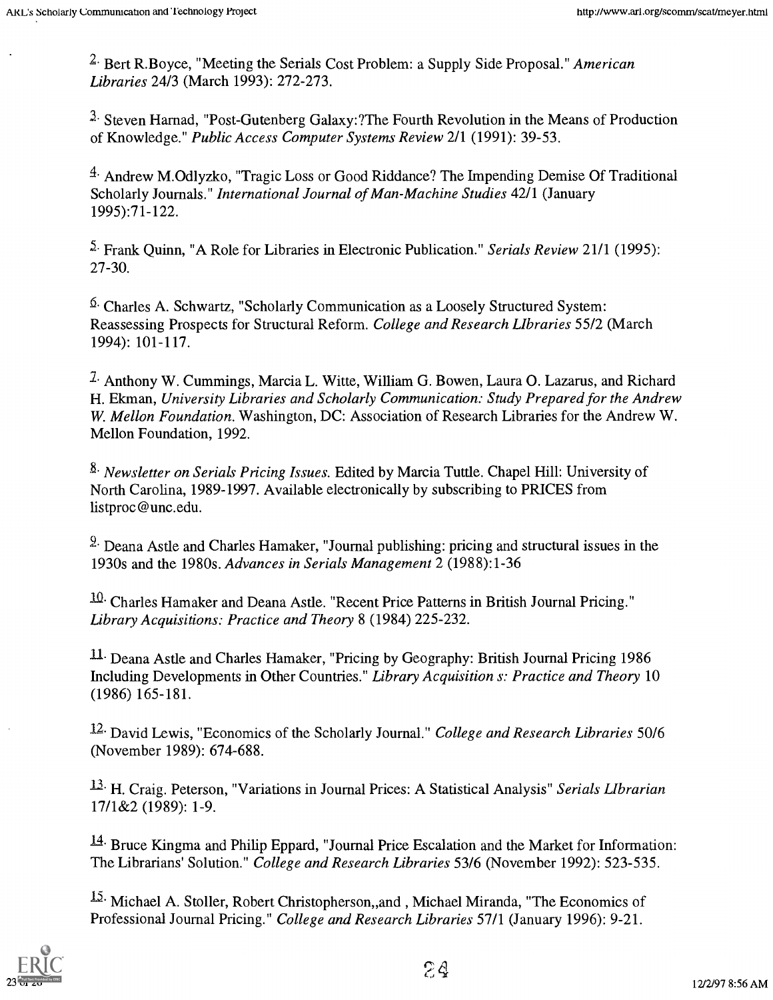2. Bert R.Boyce, "Meeting the Serials Cost Problem: a Supply Side Proposal." American Libraries 24/3 (March 1993): 272-273.

3. Steven Hamad, "Post-Gutenberg Galaxy:?The Fourth Revolution in the Means of Production of Knowledge." Public Access Computer Systems Review 2/1 (1991): 39-53.

4. Andrew M.Odlyzko, "Tragic Loss or Good Riddance? The Impending Demise Of Traditional Scholarly Journals." International Journal of Man-Machine Studies 42/1 (January 1995):71-122.

 $\frac{5}{2}$ . Frank Ouinn, "A Role for Libraries in Electronic Publication." Serials Review 21/1 (1995): 27-30.

6. Charles A. Schwartz, "Scholarly Communication as a Loosely Structured System: Reassessing Prospects for Structural Reform. College and Research Libraries 55/2 (March 1994): 101-117.

2. Anthony W. Cummings, Marcia L. Witte, William G. Bowen, Laura 0. Lazarus, and Richard H. Ekman, University Libraries and Scholarly Communication: Study Prepared for the Andrew W. Mellon Foundation. Washington, DC: Association of Research Libraries for the Andrew W. Mellon Foundation, 1992.

.8 Newsletter on Serials Pricing Issues. Edited by Marcia Tuttle. Chapel Hill: University of North Carolina, 1989-1997. Available electronically by subscribing to PRICES from listproc@unc.edu.

 $2.$  Deana Astle and Charles Hamaker, "Journal publishing: pricing and structural issues in the 1930s and the 1980s. Advances in Serials Management 2 (1988):1-36

1°. Charles Hamaker and Deana Astle. "Recent Price Patterns in British Journal Pricing." Library Acquisitions: Practice and Theory 8 (1984) 225-232.

11 Deana Astle and Charles Hamaker, "Pricing by Geography: British Journal Pricing 1986 Including Developments in Other Countries." Library Acquisition s: Practice and Theory 10 (1986) 165-181.

12. David Lewis, "Economics of the Scholarly Journal." College and Research Libraries 50/6 (November 1989): 674-688.

13 H. Craig. Peterson, "Variations in Journal Prices: A Statistical Analysis" Serials Librarian 17/1&2 (1989): 1-9.

14. Bruce Kingma and Philip Eppard, "Journal Price Escalation and the Market for Information: The Librarians' Solution." College and Research Libraries 53/6 (November 1992): 523-535.

<sup>15.</sup> Michael A. Stoller, Robert Christopherson, and, Michael Miranda, "The Economics of Professional Journal Pricing." College and Research Libraries 57/1 (January 1996): 9-21.

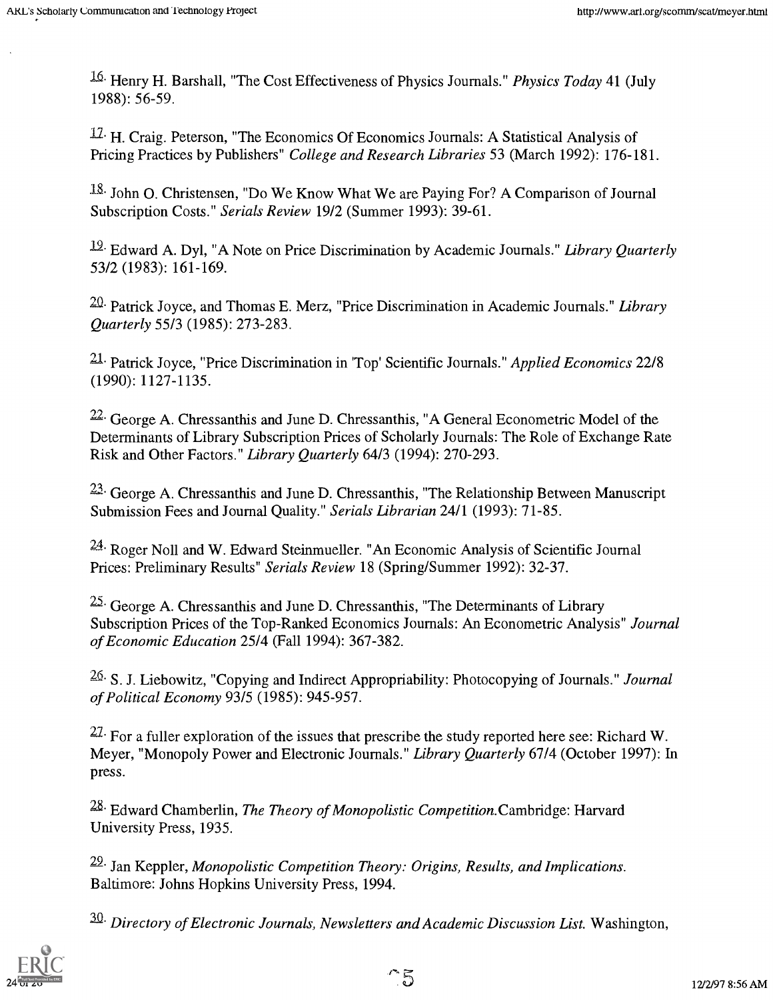16 Henry H. Barshall, "The Cost Effectiveness of Physics Journals." Physics Today 41 (July 1988): 56-59.

12. H. Craig. Peterson, "The Economics Of Economics Journals: A Statistical Analysis of Pricing Practices by Publishers" College and Research Libraries 53 (March 1992): 176-181.

18. John O. Christensen, "Do We Know What We are Paying For? A Comparison of Journal Subscription Costs." Serials Review 19/2 (Summer 1993): 39-61.

 $12.$  Edward A. Dyl, "A Note on Price Discrimination by Academic Journals." Library Quarterly 53/2 (1983): 161-169.

 $20$ . Patrick Joyce, and Thomas E. Merz, "Price Discrimination in Academic Journals." Library Quarterly 55/3 (1985): 273-283.

11. Patrick Joyce, "Price Discrimination in 'Top' Scientific Journals." Applied Economics 22/8 (1990): 1127-1135.

 $22$  George A. Chressanthis and June D. Chressanthis, "A General Econometric Model of the Determinants of Library Subscription Prices of Scholarly Journals: The Role of Exchange Rate Risk and Other Factors." Library Quarterly 64/3 (1994): 270-293.

23. George A. Chressanthis and June D. Chressanthis, "The Relationship Between Manuscript Submission Fees and Journal Quality." Serials Librarian 24/1 (1993): 71-85.

24. Roger Noll and W. Edward Steinmueller. "An Economic Analysis of Scientific Journal Prices: Preliminary Results" Serials Review 18 (Spring/Summer 1992): 32-37.

 $25$ . George A. Chressanthis and June D. Chressanthis, "The Determinants of Library Subscription Prices of the Top-Ranked Economics Journals: An Econometric Analysis" Journal of Economic Education 25/4 (Fall 1994): 367-382.

 $\frac{26}{1}$  S. J. Liebowitz, "Copying and Indirect Appropriability: Photocopying of Journals." *Journal* of Political Economy 93/5 (1985): 945-957.

27. For a fuller exploration of the issues that prescribe the study reported here see: Richard W. Meyer, "Monopoly Power and Electronic Journals." Library Quarterly 67/4 (October 1997): In press.

 $28$  Edward Chamberlin, The Theory of Monopolistic Competition.Cambridge: Harvard University Press, 1935.

 $29$  Jan Keppler, Monopolistic Competition Theory: Origins, Results, and Implications. Baltimore: Johns Hopkins University Press, 1994.

30. Directory of Electronic Journals, Newsletters and Academic Discussion List. Washington,

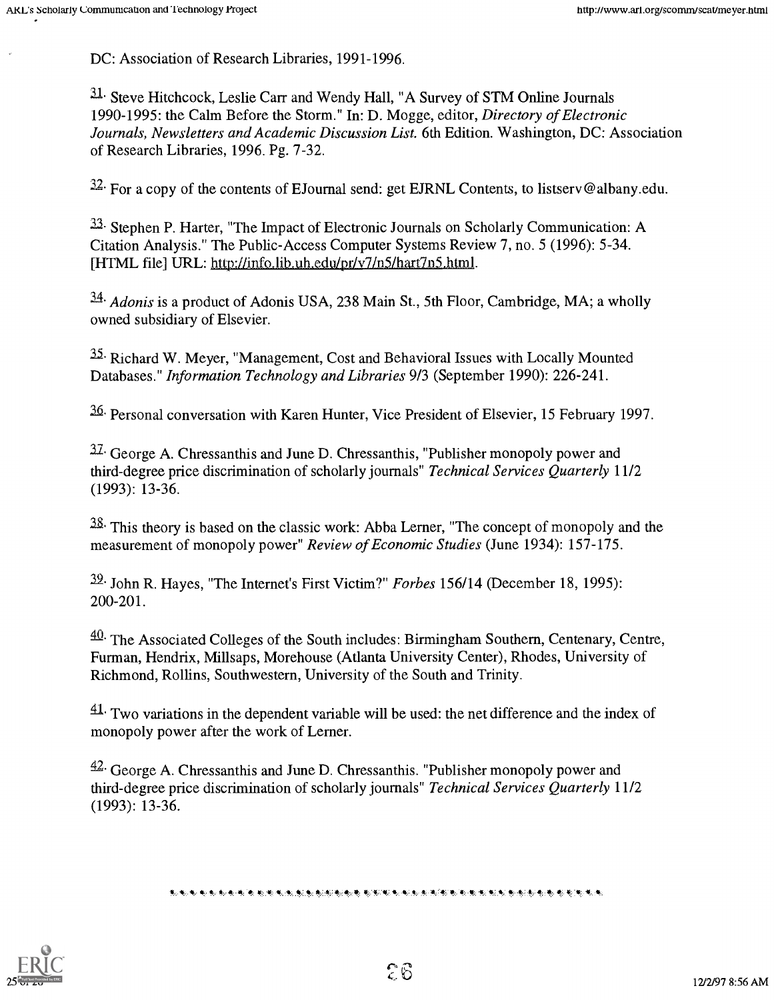DC: Association of Research Libraries, 1991-1996.

<sup>31</sup> Steve Hitchcock, Leslie Carr and Wendy Hall, "A Survey of STM Online Journals 1990-1995: the Calm Before the Storm." In: D. Mogge, editor, Directory of Electronic Journals, Newsletters and Academic Discussion List. 6th Edition. Washington, DC: Association of Research Libraries, 1996. Pg. 7-32.

32. For a copy of the contents of EJournal send: get EJRNL Contents, to listserv@albany.edu.

23. Stephen P. Harter, "The Impact of Electronic Journals on Scholarly Communication: A Citation Analysis." The Public-Access Computer Systems Review 7, no. 5 (1996): 5-34. [HTML file] URL: http://info.lib.uh.edu/pr/v7/n5/hart7n5.html.

 $34.$  Adonis is a product of Adonis USA, 238 Main St., 5th Floor, Cambridge, MA; a wholly owned subsidiary of Elsevier.

35-. Richard W. Meyer, "Management, Cost and Behavioral Issues with Locally Mounted Databases." Information Technology and Libraries 9/3 (September 1990): 226-241.

3-6. Personal conversation with Karen Hunter, Vice President of Elsevier, 15 February 1997.

31. George A. Chressanthis and June D. Chressanthis, "Publisher monopoly power and third-degree price discrimination of scholarly journals" Technical Services Ouarterly 11/2 (1993): 13-36.

 $38$ . This theory is based on the classic work: Abba Lerner, "The concept of monopoly and the measurement of monopoly power" Review of Economic Studies (June 1934): 157-175.

 $39.$  John R. Hayes, "The Internet's First Victim?" *Forbes* 156/14 (December 18, 1995): 200-201.

 $40$ . The Associated Colleges of the South includes: Birmingham Southern, Centenary, Centre, Furman, Hendrix, Millsaps, Morehouse (Atlanta University Center), Rhodes, University of Richmond, Rollins, Southwestern, University of the South and Trinity.

 $41$  Two variations in the dependent variable will be used: the net difference and the index of monopoly power after the work of Lerner.

 $42$ . George A. Chressanthis and June D. Chressanthis. "Publisher monopoly power and third-degree price discrimination of scholarly journals" Technical Services Quarterly 11/2 (1993): 13-36.

机电池 电电热电流 电热电流 机混凝土机制混凝土机 电影演说 机耐火机 医假毛状 医假性肌肉 机链形电池 化电流 光线

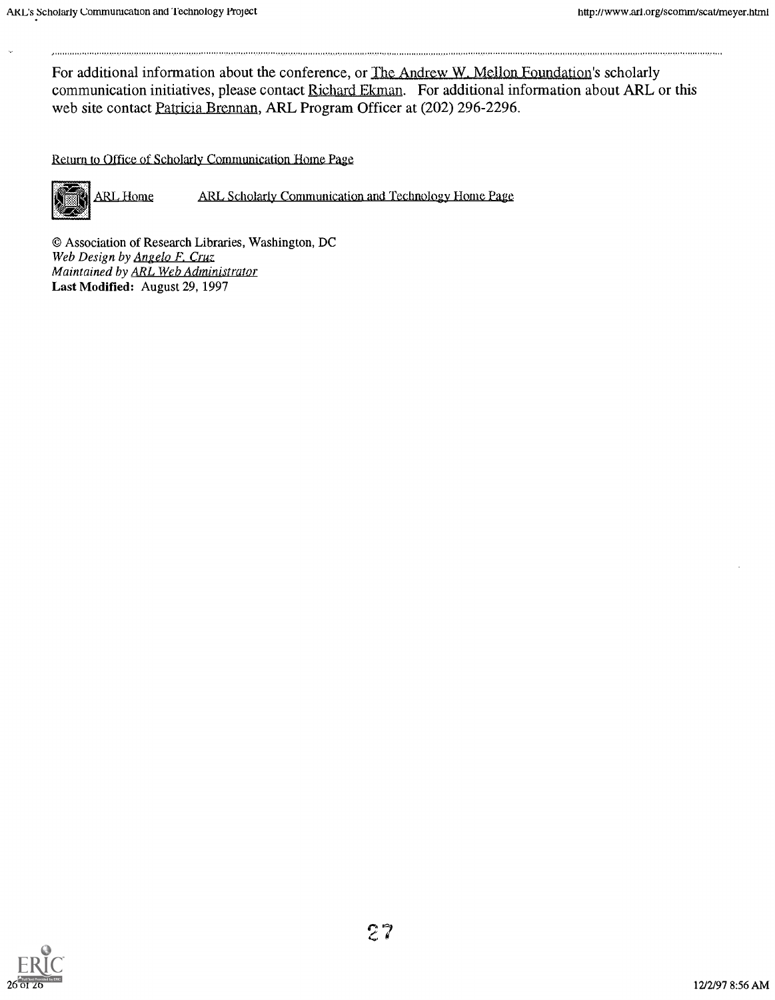For additional information about the conference, or The Andrew W. Mellon Foundation's scholarly communication initiatives, please contact Richard Ekman. For additional information about ARL or this web site contact Patricia Brennan, ARL Program Officer at (202) 296-2296.

Return to Office of Scholarly Communication Home Page

ARL Home ARL Scholarly Communication and Technology Home Page

© Association of Research Libraries, Washington, DC Web Design by Angelo F. Cruz Maintained by ARL Web Administrator Last Modified: August 29, 1997